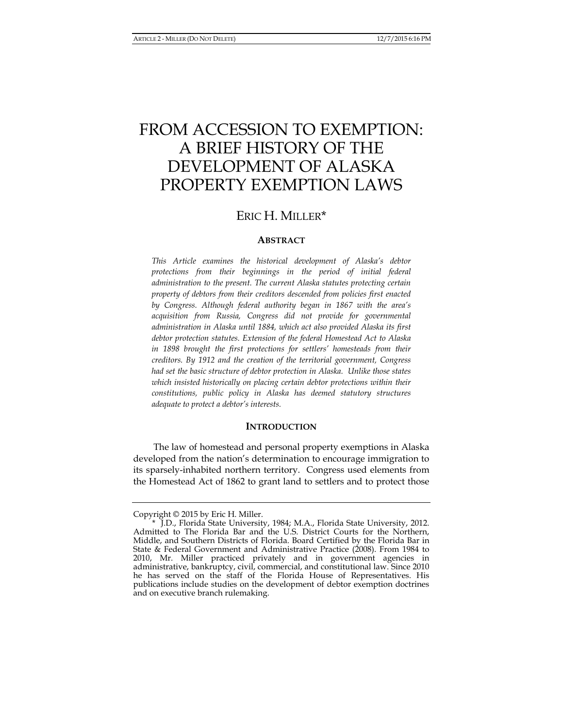# FROM ACCESSION TO EXEMPTION: A BRIEF HISTORY OF THE DEVELOPMENT OF ALASKA PROPERTY EXEMPTION LAWS

# ERIC H. MILLER\*

# **ABSTRACT**

*This Article examines the historical development of Alaska's debtor protections from their beginnings in the period of initial federal administration to the present. The current Alaska statutes protecting certain property of debtors from their creditors descended from policies first enacted by Congress. Although federal authority began in 1867 with the area's acquisition from Russia, Congress did not provide for governmental administration in Alaska until 1884, which act also provided Alaska its first debtor protection statutes. Extension of the federal Homestead Act to Alaska in 1898 brought the first protections for settlers' homesteads from their creditors. By 1912 and the creation of the territorial government, Congress had set the basic structure of debtor protection in Alaska. Unlike those states which insisted historically on placing certain debtor protections within their constitutions, public policy in Alaska has deemed statutory structures adequate to protect a debtor's interests.* 

## **INTRODUCTION**

The law of homestead and personal property exemptions in Alaska developed from the nation's determination to encourage immigration to its sparsely-inhabited northern territory. Congress used elements from the Homestead Act of 1862 to grant land to settlers and to protect those

Copyright © 2015 by Eric H. Miller.

 <sup>\*</sup> J.D., Florida State University, 1984; M.A., Florida State University, 2012. Admitted to The Florida Bar and the U.S. District Courts for the Northern, Middle, and Southern Districts of Florida. Board Certified by the Florida Bar in State & Federal Government and Administrative Practice (2008). From 1984 to 2010, Mr. Miller practiced privately and in government agencies in administrative, bankruptcy, civil, commercial, and constitutional law. Since 2010 he has served on the staff of the Florida House of Representatives. His publications include studies on the development of debtor exemption doctrines and on executive branch rulemaking.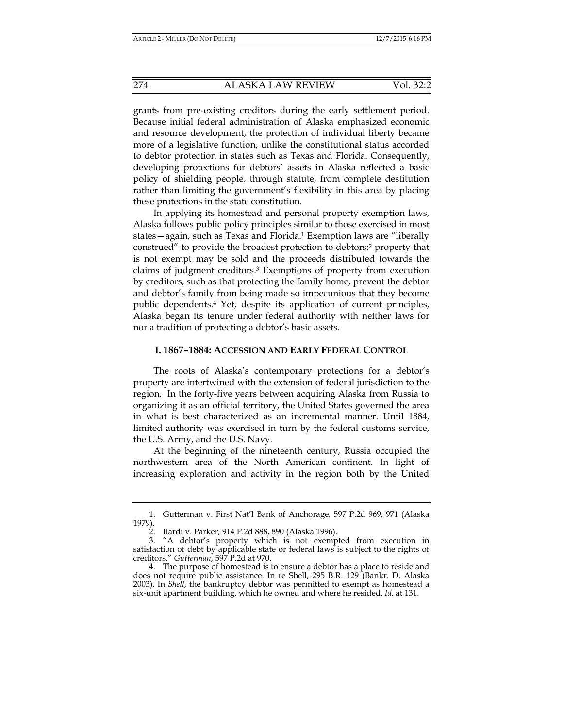grants from pre-existing creditors during the early settlement period. Because initial federal administration of Alaska emphasized economic and resource development, the protection of individual liberty became more of a legislative function, unlike the constitutional status accorded to debtor protection in states such as Texas and Florida. Consequently, developing protections for debtors' assets in Alaska reflected a basic policy of shielding people, through statute, from complete destitution rather than limiting the government's flexibility in this area by placing these protections in the state constitution.

In applying its homestead and personal property exemption laws, Alaska follows public policy principles similar to those exercised in most states—again, such as Texas and Florida.1 Exemption laws are "liberally construed" to provide the broadest protection to debtors;2 property that is not exempt may be sold and the proceeds distributed towards the claims of judgment creditors.3 Exemptions of property from execution by creditors, such as that protecting the family home, prevent the debtor and debtor's family from being made so impecunious that they become public dependents.4 Yet, despite its application of current principles, Alaska began its tenure under federal authority with neither laws for nor a tradition of protecting a debtor's basic assets.

#### **I. 1867–1884: ACCESSION AND EARLY FEDERAL CONTROL**

The roots of Alaska's contemporary protections for a debtor's property are intertwined with the extension of federal jurisdiction to the region. In the forty-five years between acquiring Alaska from Russia to organizing it as an official territory, the United States governed the area in what is best characterized as an incremental manner. Until 1884, limited authority was exercised in turn by the federal customs service, the U.S. Army, and the U.S. Navy.

At the beginning of the nineteenth century, Russia occupied the northwestern area of the North American continent. In light of increasing exploration and activity in the region both by the United

 <sup>1.</sup> Gutterman v. First Nat'l Bank of Anchorage*,* 597 P.2d 969, 971 (Alaska 1979).

 <sup>2.</sup> Ilardi v. Parker*,* 914 P.2d 888, 890 (Alaska 1996).

 <sup>3. &</sup>quot;A debtor's property which is not exempted from execution in satisfaction of debt by applicable state or federal laws is subject to the rights of creditors." *Gutterman*, 597 P.2d at 970.

 <sup>4.</sup> The purpose of homestead is to ensure a debtor has a place to reside and does not require public assistance. In re Shell*,* 295 B.R. 129 (Bankr. D. Alaska 2003). In *Shell*, the bankruptcy debtor was permitted to exempt as homestead a six-unit apartment building, which he owned and where he resided. *Id.* at 131.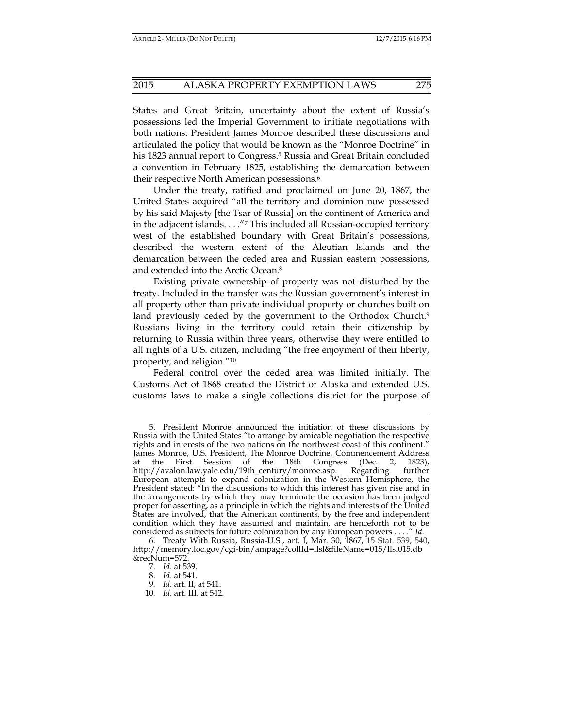States and Great Britain, uncertainty about the extent of Russia's possessions led the Imperial Government to initiate negotiations with both nations. President James Monroe described these discussions and articulated the policy that would be known as the "Monroe Doctrine" in his 1823 annual report to Congress.<sup>5</sup> Russia and Great Britain concluded a convention in February 1825, establishing the demarcation between their respective North American possessions.6

Under the treaty, ratified and proclaimed on June 20, 1867, the United States acquired "all the territory and dominion now possessed by his said Majesty [the Tsar of Russia] on the continent of America and in the adjacent islands. . . ."7 This included all Russian-occupied territory west of the established boundary with Great Britain's possessions, described the western extent of the Aleutian Islands and the demarcation between the ceded area and Russian eastern possessions, and extended into the Arctic Ocean.8

Existing private ownership of property was not disturbed by the treaty. Included in the transfer was the Russian government's interest in all property other than private individual property or churches built on land previously ceded by the government to the Orthodox Church.<sup>9</sup> Russians living in the territory could retain their citizenship by returning to Russia within three years, otherwise they were entitled to all rights of a U.S. citizen, including "the free enjoyment of their liberty, property, and religion."10

Federal control over the ceded area was limited initially. The Customs Act of 1868 created the District of Alaska and extended U.S. customs laws to make a single collections district for the purpose of

 <sup>5.</sup> President Monroe announced the initiation of these discussions by Russia with the United States "to arrange by amicable negotiation the respective rights and interests of the two nations on the northwest coast of this continent." James Monroe, U.S. President, The Monroe Doctrine, Commencement Address at the First Session of the 18th Congress (Dec. 2, 1823), http://avalon.law.yale.edu/19th\_century/monroe.asp. Regarding further European attempts to expand colonization in the Western Hemisphere, the President stated: "In the discussions to which this interest has given rise and in the arrangements by which they may terminate the occasion has been judged proper for asserting, as a principle in which the rights and interests of the United States are involved, that the American continents, by the free and independent condition which they have assumed and maintain, are henceforth not to be considered as subjects for future colonization by any European powers . . . ." *Id*.

 <sup>6.</sup> Treaty With Russia, Russia-U.S., art. I, Mar. 30, 1867, 15 Stat. 539, 540, http://memory.loc.gov/cgi-bin/ampage?collId=llsl&fileName=015/llsl015.db &recNum=572.

 <sup>7.</sup> *Id*. at 539.

 <sup>8.</sup> *Id*. at 541.

<sup>9</sup>*. Id*. art. II, at 541.

<sup>10</sup>*. Id*. art. III, at 542.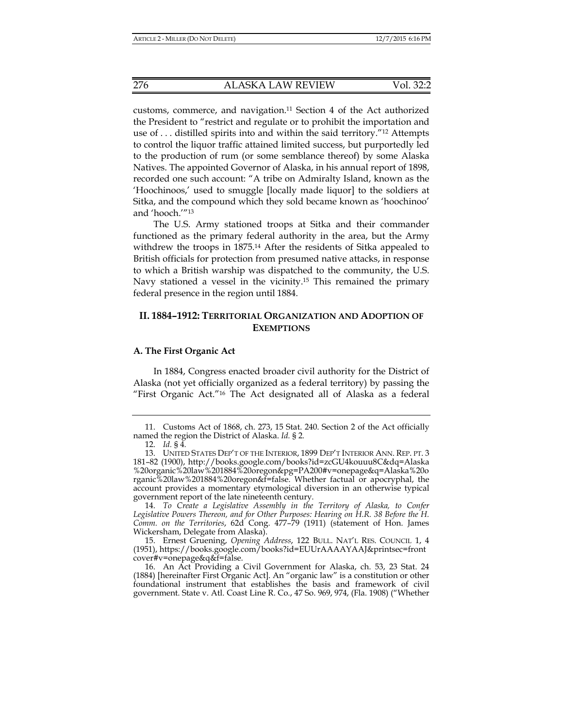customs, commerce, and navigation.11 Section 4 of the Act authorized the President to "restrict and regulate or to prohibit the importation and use of  $\dots$  distilled spirits into and within the said territory.<sup>"12</sup> Attempts to control the liquor traffic attained limited success, but purportedly led to the production of rum (or some semblance thereof) by some Alaska Natives. The appointed Governor of Alaska, in his annual report of 1898, recorded one such account: "A tribe on Admiralty Island, known as the 'Hoochinoos,' used to smuggle [locally made liquor] to the soldiers at Sitka, and the compound which they sold became known as 'hoochinoo' and 'hooch.'"13

The U.S. Army stationed troops at Sitka and their commander functioned as the primary federal authority in the area, but the Army withdrew the troops in 1875.14 After the residents of Sitka appealed to British officials for protection from presumed native attacks, in response to which a British warship was dispatched to the community, the U.S. Navy stationed a vessel in the vicinity.15 This remained the primary federal presence in the region until 1884.

# **II. 1884–1912: TERRITORIAL ORGANIZATION AND ADOPTION OF EXEMPTIONS**

#### **A. The First Organic Act**

In 1884, Congress enacted broader civil authority for the District of Alaska (not yet officially organized as a federal territory) by passing the "First Organic Act."16 The Act designated all of Alaska as a federal

 14. *To Create a Legislative Assembly in the Territory of Alaska, to Confer Legislative Powers Thereon, and for Other Purposes: Hearing on H.R. 38 Before the H. Comm. on the Territories*, 62d Cong. 477–79 (1911) (statement of Hon. James Wickersham, Delegate from Alaska).

 15. Ernest Gruening, *Opening Address*, 122 BULL. NAT'L RES. COUNCIL 1, 4 (1951), https://books.google.com/books?id=EUUrAAAAYAAJ&printsec=front cover#v=onepage&q&f=false.

 16. An Act Providing a Civil Government for Alaska, ch. 53, 23 Stat. 24 (1884) [hereinafter First Organic Act]. An "organic law" is a constitution or other foundational instrument that establishes the basis and framework of civil government. State v. Atl. Coast Line R. Co*.*, 47 So. 969, 974, (Fla. 1908) ("Whether

 <sup>11.</sup> Customs Act of 1868, ch. 273, 15 Stat. 240. Section 2 of the Act officially named the region the District of Alaska. *Id.* § 2*.*

 <sup>12.</sup> *Id.* § 4*.*

 <sup>13.</sup> UNITED STATES DEP'T OF THE INTERIOR, 1899 DEP'T INTERIOR ANN. REP. PT. 3 181–82 (1900), http://books.google.com/books?id=zcGU4kouuu8C&dq=Alaska %20organic%20law%201884%20oregon&pg=PA200#v=onepage&q=Alaska%20o rganic%20law%201884%20oregon&f=false. Whether factual or apocryphal, the account provides a momentary etymological diversion in an otherwise typical government report of the late nineteenth century.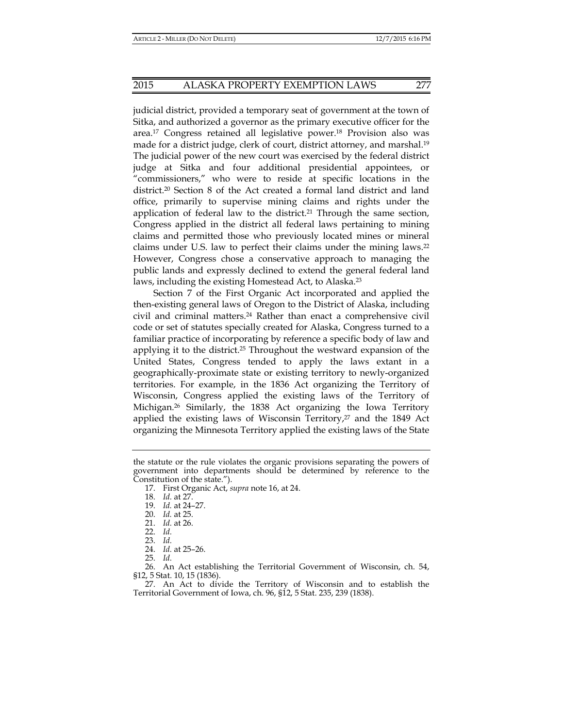judicial district, provided a temporary seat of government at the town of Sitka, and authorized a governor as the primary executive officer for the area.17 Congress retained all legislative power.18 Provision also was made for a district judge, clerk of court, district attorney, and marshal.19 The judicial power of the new court was exercised by the federal district judge at Sitka and four additional presidential appointees, or "commissioners," who were to reside at specific locations in the district.20 Section 8 of the Act created a formal land district and land office, primarily to supervise mining claims and rights under the application of federal law to the district.<sup>21</sup> Through the same section, Congress applied in the district all federal laws pertaining to mining claims and permitted those who previously located mines or mineral claims under U.S. law to perfect their claims under the mining laws.22 However, Congress chose a conservative approach to managing the public lands and expressly declined to extend the general federal land laws, including the existing Homestead Act, to Alaska.23

Section 7 of the First Organic Act incorporated and applied the then-existing general laws of Oregon to the District of Alaska, including civil and criminal matters.24 Rather than enact a comprehensive civil code or set of statutes specially created for Alaska, Congress turned to a familiar practice of incorporating by reference a specific body of law and applying it to the district.25 Throughout the westward expansion of the United States, Congress tended to apply the laws extant in a geographically-proximate state or existing territory to newly-organized territories. For example, in the 1836 Act organizing the Territory of Wisconsin, Congress applied the existing laws of the Territory of Michigan.26 Similarly, the 1838 Act organizing the Iowa Territory applied the existing laws of Wisconsin Territory, $27$  and the 1849 Act organizing the Minnesota Territory applied the existing laws of the State

the statute or the rule violates the organic provisions separating the powers of government into departments should be determined by reference to the Constitution of the state.").

 <sup>17.</sup> First Organic Act, *supra* note 16, at 24.

 <sup>18.</sup> *Id.* at 27.

 <sup>19.</sup> *Id.* at 24–27.

 <sup>20.</sup> *Id.* at 25.

 <sup>21.</sup> *Id.* at 26.

 <sup>22.</sup> *Id.*

 <sup>23.</sup> *Id.*

 <sup>24.</sup> *Id.* at 25–26.

 <sup>25.</sup> *Id.*

 <sup>26.</sup> An Act establishing the Territorial Government of Wisconsin, ch. 54, §12, 5 Stat. 10, 15 (1836).

 <sup>27.</sup> An Act to divide the Territory of Wisconsin and to establish the Territorial Government of Iowa, ch. 96, §12, 5 Stat. 235, 239 (1838).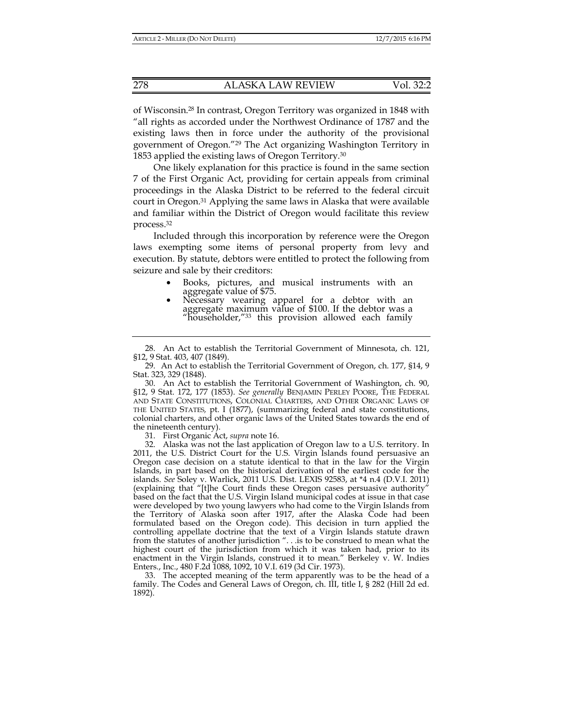of Wisconsin.28 In contrast, Oregon Territory was organized in 1848 with "all rights as accorded under the Northwest Ordinance of 1787 and the existing laws then in force under the authority of the provisional government of Oregon."29 The Act organizing Washington Territory in 1853 applied the existing laws of Oregon Territory*.* 30

One likely explanation for this practice is found in the same section 7 of the First Organic Act, providing for certain appeals from criminal proceedings in the Alaska District to be referred to the federal circuit court in Oregon.31 Applying the same laws in Alaska that were available and familiar within the District of Oregon would facilitate this review process.32

Included through this incorporation by reference were the Oregon laws exempting some items of personal property from levy and execution. By statute, debtors were entitled to protect the following from seizure and sale by their creditors:

- Books, pictures, and musical instruments with an aggregate value of \$75. aggregate value of \$75. • Necessary wearing apparel for a debtor with an
- aggregate maximum value of \$100. If the debtor was a "householder,<sup>"33</sup> this provision allowed each family

31. First Organic Act, *supra* note 16.

 32. Alaska was not the last application of Oregon law to a U.S. territory. In 2011, the U.S. District Court for the U.S. Virgin Islands found persuasive an Oregon case decision on a statute identical to that in the law for the Virgin Islands, in part based on the historical derivation of the earliest code for the islands. *See* Soley v. Warlick, 2011 U.S. Dist. LEXIS 92583, at \*4 n.4 (D.V.I. 2011) (explaining that "[t]he Court finds these Oregon cases persuasive authority" based on the fact that the U.S. Virgin Island municipal codes at issue in that case were developed by two young lawyers who had come to the Virgin Islands from the Territory of Alaska soon after 1917, after the Alaska Code had been formulated based on the Oregon code). This decision in turn applied the controlling appellate doctrine that the text of a Virgin Islands statute drawn from the statutes of another jurisdiction ". . .is to be construed to mean what the highest court of the jurisdiction from which it was taken had, prior to its enactment in the Virgin Islands, construed it to mean." Berkeley v. W. Indies Enters., Inc., 480 F.2d 1088, 1092, 10 V.I. 619 (3d Cir. 1973).

 33. The accepted meaning of the term apparently was to be the head of a family. The Codes and General Laws of Oregon, ch. III, title I, § 282 (Hill 2d ed. 1892).

 <sup>28.</sup> An Act to establish the Territorial Government of Minnesota, ch. 121, §12, 9 Stat. 403, 407 (1849).

 <sup>29.</sup> An Act to establish the Territorial Government of Oregon, ch. 177, §14, 9 Stat. 323, 329 (1848).

 <sup>30.</sup> An Act to establish the Territorial Government of Washington, ch. 90, §12, 9 Stat. 172, 177 (1853). *See generally* BENJAMIN PERLEY POORE, THE FEDERAL AND STATE CONSTITUTIONS, COLONIAL CHARTERS, AND OTHER ORGANIC LAWS OF THE UNITED STATES*,* pt. I (1877), (summarizing federal and state constitutions, colonial charters, and other organic laws of the United States towards the end of the nineteenth century).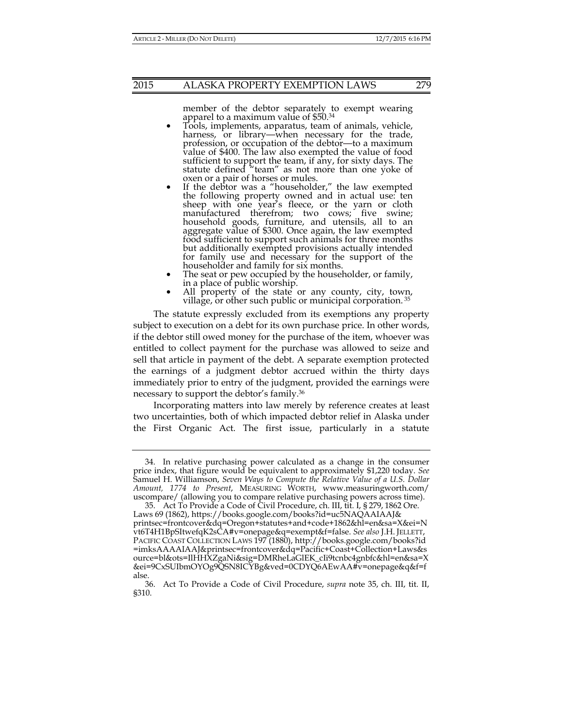member of the debtor separately to exempt wearing apparel to a maximum value of \$50.34

- Tools, implements, apparatus, team of animals, vehicle, harness, or library—when necessary for the trade, profession, or occupation of the debtor—to a maximum value of \$400. The law also exempted the value of food value of \$400. The law also exempted the value of food sufficient to support the team, if any, for sixty days. The statute defined "team" as not more than one yoke of
- oxen or a pair of horses or mules.<br>If the debtor was a "householder," the law exempted the following property owned and in actual use: ten sheep with one year's fleece, or the yarn or cloth manufactured therefrom; two cows; five swine; household goods, furniture, and utensils, all to an aggregate value of \$300. Once again, the law exempted food sufficient to support such animals for three months but additionally exempted provisions actually intended for family use and necessary for the support of the householder and family for six months.
- The seat or pew occupied by the householder, or family, in a place of public worship.
- All property of the state or any county, city, town, village, or other such public or municipal corporation. 35

The statute expressly excluded from its exemptions any property subject to execution on a debt for its own purchase price. In other words, if the debtor still owed money for the purchase of the item, whoever was entitled to collect payment for the purchase was allowed to seize and sell that article in payment of the debt. A separate exemption protected the earnings of a judgment debtor accrued within the thirty days immediately prior to entry of the judgment, provided the earnings were necessary to support the debtor's family.36

Incorporating matters into law merely by reference creates at least two uncertainties, both of which impacted debtor relief in Alaska under the First Organic Act. The first issue, particularly in a statute

 <sup>34.</sup> In relative purchasing power calculated as a change in the consumer price index, that figure would be equivalent to approximately \$1,220 today. *See* Samuel H. Williamson, *Seven Ways to Compute the Relative Value of a U.S. Dollar Amount, 1774 to Present*, MEASURING WORTH, www.measuringworth.com/ uscompare/ (allowing you to compare relative purchasing powers across time).

 <sup>35.</sup> Act To Provide a Code of Civil Procedure, ch. III, tit. I, § 279, 1862 Ore. Laws 69 (1862), https://books.google.com/books?id=uc5NAQAAIAAJ& printsec=frontcover&dq=Oregon+statutes+and+code+1862&hl=en&sa=X&ei=N vt6T4H1BpSItwefqK2sCA#v=onepage&q=exempt&f=false. *See also* J.H. JELLETT, PACIFIC COAST COLLECTION LAWS 197 (1880), http://books.google.com/books?id =imksAAAAIAAJ&printsec=frontcover&dq=Pacific+Coast+Collection+Laws&s ource=bl&ots=IlHHXZgaNi&sig=DMRheLaGlEK\_cIi9tcnbc4gnbfc&hl=en&sa=X &ei=9CxSUIbmOYOg9QSN8ICYBg&ved=0CDYQ6AEwAA#v=onepage&q&f=f alse.

 <sup>36.</sup> Act To Provide a Code of Civil Procedure, *supra* note 35, ch. III, tit. II, §310.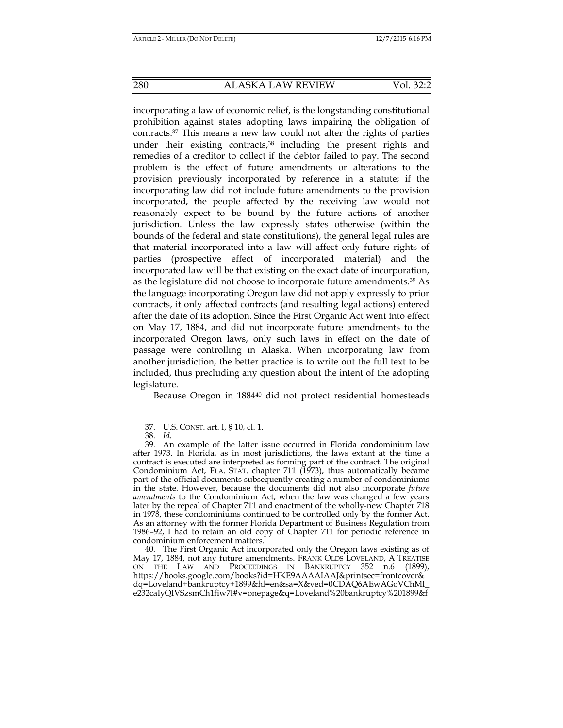incorporating a law of economic relief, is the longstanding constitutional prohibition against states adopting laws impairing the obligation of contracts.37 This means a new law could not alter the rights of parties under their existing contracts,38 including the present rights and remedies of a creditor to collect if the debtor failed to pay. The second problem is the effect of future amendments or alterations to the provision previously incorporated by reference in a statute; if the incorporating law did not include future amendments to the provision incorporated, the people affected by the receiving law would not reasonably expect to be bound by the future actions of another jurisdiction. Unless the law expressly states otherwise (within the bounds of the federal and state constitutions), the general legal rules are that material incorporated into a law will affect only future rights of parties (prospective effect of incorporated material) and the incorporated law will be that existing on the exact date of incorporation, as the legislature did not choose to incorporate future amendments.39 As the language incorporating Oregon law did not apply expressly to prior contracts, it only affected contracts (and resulting legal actions) entered after the date of its adoption. Since the First Organic Act went into effect on May 17, 1884, and did not incorporate future amendments to the incorporated Oregon laws, only such laws in effect on the date of passage were controlling in Alaska. When incorporating law from another jurisdiction, the better practice is to write out the full text to be included, thus precluding any question about the intent of the adopting legislature.

Because Oregon in 1884<sup>40</sup> did not protect residential homesteads

 40. The First Organic Act incorporated only the Oregon laws existing as of May 17, 1884, not any future amendments. FRANK OLDS LOVELAND, A TREATISE ON THE LAW AND PROCEEDINGS IN BANKRUPTCY 352 n.6 (1899), https://books.google.com/books?id=HKE9AAAAIAAJ&printsec=frontcover& dq=Loveland+bankruptcy+1899&hl=en&sa=X&ved=0CDAQ6AEwAGoVChMI\_ e232caIyQIVSzsmCh1fiw7l#v=onepage&q=Loveland%20bankruptcy%201899&f

 <sup>37.</sup> U.S. CONST. art. I, § 10, cl. 1.

 <sup>38.</sup> *Id.* 

 <sup>39.</sup> An example of the latter issue occurred in Florida condominium law after 1973. In Florida, as in most jurisdictions, the laws extant at the time a contract is executed are interpreted as forming part of the contract. The original Condominium Act, FLA. STAT. chapter 711 (1973), thus automatically became part of the official documents subsequently creating a number of condominiums in the state. However, because the documents did not also incorporate *future amendments* to the Condominium Act, when the law was changed a few years later by the repeal of Chapter 711 and enactment of the wholly-new Chapter 718 in 1978, these condominiums continued to be controlled only by the former Act. As an attorney with the former Florida Department of Business Regulation from 1986–92, I had to retain an old copy of Chapter 711 for periodic reference in condominium enforcement matters.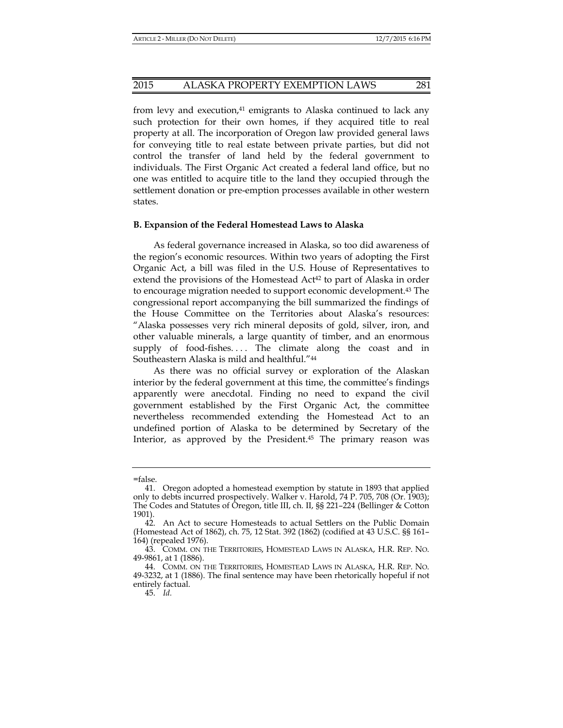# 2015 ALASKA PROPERTY EXEMPTION LAWS 281

from levy and execution, $41$  emigrants to Alaska continued to lack any such protection for their own homes, if they acquired title to real property at all. The incorporation of Oregon law provided general laws for conveying title to real estate between private parties, but did not control the transfer of land held by the federal government to individuals. The First Organic Act created a federal land office, but no one was entitled to acquire title to the land they occupied through the settlement donation or pre-emption processes available in other western states.

#### **B. Expansion of the Federal Homestead Laws to Alaska**

As federal governance increased in Alaska, so too did awareness of the region's economic resources. Within two years of adopting the First Organic Act, a bill was filed in the U.S. House of Representatives to extend the provisions of the Homestead  $Act^{42}$  to part of Alaska in order to encourage migration needed to support economic development.43 The congressional report accompanying the bill summarized the findings of the House Committee on the Territories about Alaska's resources: "Alaska possesses very rich mineral deposits of gold, silver, iron, and other valuable minerals, a large quantity of timber, and an enormous supply of food-fishes.... The climate along the coast and in Southeastern Alaska is mild and healthful."44

As there was no official survey or exploration of the Alaskan interior by the federal government at this time, the committee's findings apparently were anecdotal. Finding no need to expand the civil government established by the First Organic Act, the committee nevertheless recommended extending the Homestead Act to an undefined portion of Alaska to be determined by Secretary of the Interior, as approved by the President.45 The primary reason was

<sup>=</sup>false.

 <sup>41.</sup> Oregon adopted a homestead exemption by statute in 1893 that applied only to debts incurred prospectively. Walker v. Harold, 74 P. 705, 708 (Or. 1903); The Codes and Statutes of Oregon, title III, ch. II, §§ 221–224 (Bellinger & Cotton 1901).

 <sup>42.</sup> An Act to secure Homesteads to actual Settlers on the Public Domain (Homestead Act of 1862), ch. 75, 12 Stat. 392 (1862) (codified at 43 U.S.C. §§ 161– 164) (repealed 1976).

 <sup>43.</sup> COMM. ON THE TERRITORIES, HOMESTEAD LAWS IN ALASKA, H.R. REP. NO. 49-9861, at 1 (1886).

 <sup>44.</sup> COMM. ON THE TERRITORIES, HOMESTEAD LAWS IN ALASKA, H.R. REP. NO. 49-3232, at 1 (1886). The final sentence may have been rhetorically hopeful if not entirely factual.

 <sup>45.</sup> *Id.*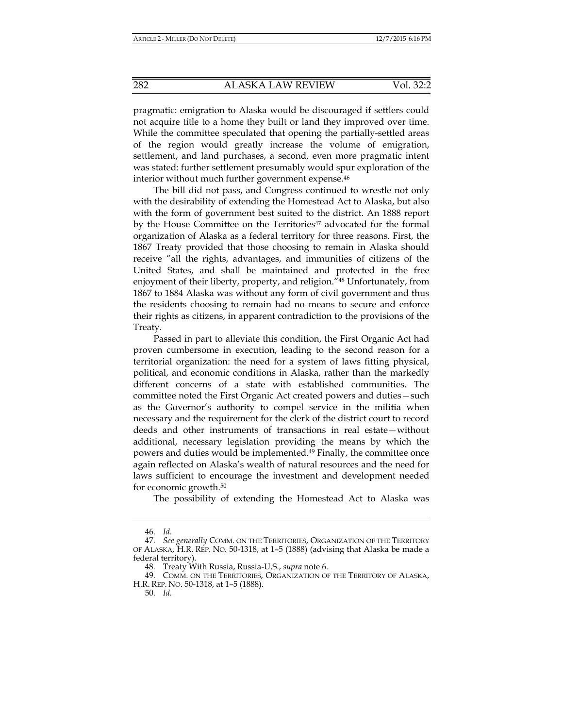pragmatic: emigration to Alaska would be discouraged if settlers could not acquire title to a home they built or land they improved over time. While the committee speculated that opening the partially-settled areas of the region would greatly increase the volume of emigration, settlement, and land purchases, a second, even more pragmatic intent was stated: further settlement presumably would spur exploration of the interior without much further government expense.<sup>46</sup>

The bill did not pass, and Congress continued to wrestle not only with the desirability of extending the Homestead Act to Alaska, but also with the form of government best suited to the district. An 1888 report by the House Committee on the Territories<sup>47</sup> advocated for the formal organization of Alaska as a federal territory for three reasons. First, the 1867 Treaty provided that those choosing to remain in Alaska should receive "all the rights, advantages, and immunities of citizens of the United States, and shall be maintained and protected in the free enjoyment of their liberty, property, and religion."48 Unfortunately, from 1867 to 1884 Alaska was without any form of civil government and thus the residents choosing to remain had no means to secure and enforce their rights as citizens, in apparent contradiction to the provisions of the Treaty.

Passed in part to alleviate this condition, the First Organic Act had proven cumbersome in execution, leading to the second reason for a territorial organization: the need for a system of laws fitting physical, political, and economic conditions in Alaska, rather than the markedly different concerns of a state with established communities. The committee noted the First Organic Act created powers and duties—such as the Governor's authority to compel service in the militia when necessary and the requirement for the clerk of the district court to record deeds and other instruments of transactions in real estate—without additional, necessary legislation providing the means by which the powers and duties would be implemented.<sup>49</sup> Finally, the committee once again reflected on Alaska's wealth of natural resources and the need for laws sufficient to encourage the investment and development needed for economic growth.50

The possibility of extending the Homestead Act to Alaska was

 <sup>46.</sup> *Id.*

 <sup>47.</sup> *See generally* COMM. ON THE TERRITORIES, ORGANIZATION OF THE TERRITORY OF ALASKA, H.R. REP. NO. 50-1318, at 1–5 (1888) (advising that Alaska be made a federal territory).

 <sup>48.</sup> Treaty With Russia, Russia-U.S., *supra* note 6.

 <sup>49.</sup> COMM. ON THE TERRITORIES, ORGANIZATION OF THE TERRITORY OF ALASKA, H.R. REP. NO. 50-1318, at 1–5 (1888).

 <sup>50.</sup> *Id.*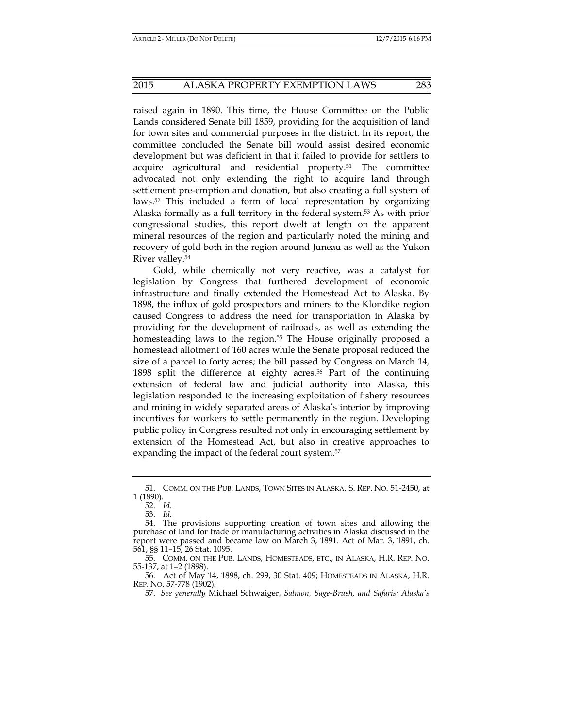raised again in 1890. This time, the House Committee on the Public Lands considered Senate bill 1859, providing for the acquisition of land for town sites and commercial purposes in the district. In its report, the committee concluded the Senate bill would assist desired economic development but was deficient in that it failed to provide for settlers to acquire agricultural and residential property.51 The committee advocated not only extending the right to acquire land through settlement pre-emption and donation, but also creating a full system of laws.52 This included a form of local representation by organizing Alaska formally as a full territory in the federal system.53 As with prior congressional studies, this report dwelt at length on the apparent mineral resources of the region and particularly noted the mining and recovery of gold both in the region around Juneau as well as the Yukon River valley.54

Gold, while chemically not very reactive, was a catalyst for legislation by Congress that furthered development of economic infrastructure and finally extended the Homestead Act to Alaska. By 1898, the influx of gold prospectors and miners to the Klondike region caused Congress to address the need for transportation in Alaska by providing for the development of railroads, as well as extending the homesteading laws to the region.<sup>55</sup> The House originally proposed a homestead allotment of 160 acres while the Senate proposal reduced the size of a parcel to forty acres; the bill passed by Congress on March 14, 1898 split the difference at eighty acres.56 Part of the continuing extension of federal law and judicial authority into Alaska, this legislation responded to the increasing exploitation of fishery resources and mining in widely separated areas of Alaska's interior by improving incentives for workers to settle permanently in the region. Developing public policy in Congress resulted not only in encouraging settlement by extension of the Homestead Act, but also in creative approaches to expanding the impact of the federal court system.<sup>57</sup>

 <sup>51.</sup> COMM. ON THE PUB. LANDS, TOWN SITES IN ALASKA, S. REP. NO. 51-2450, at 1 (1890).

 <sup>52.</sup> *Id.*

 <sup>53.</sup> *Id.*

 <sup>54.</sup> The provisions supporting creation of town sites and allowing the purchase of land for trade or manufacturing activities in Alaska discussed in the report were passed and became law on March 3, 1891. Act of Mar. 3, 1891, ch. 561, §§ 11–15, 26 Stat. 1095.

 <sup>55.</sup> COMM. ON THE PUB. LANDS, HOMESTEADS, ETC., IN ALASKA, H.R. REP. NO. 55-137, at 1–2 (1898).

 <sup>56.</sup> Act of May 14, 1898, ch. 299, 30 Stat. 409; HOMESTEADS IN ALASKA, H.R. REP. NO. 57-778 (1902)**.** 

 <sup>57.</sup> *See generally* Michael Schwaiger, *Salmon, Sage-Brush, and Safaris: Alaska's*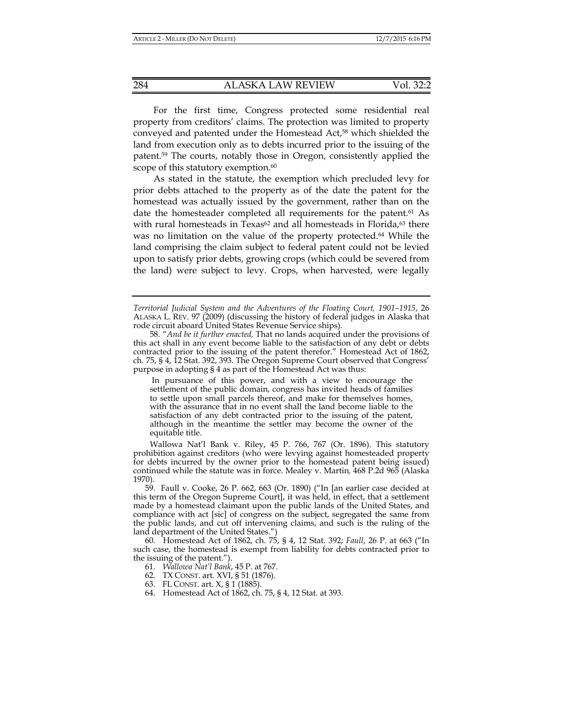For the first time, Congress protected some residential real property from creditors' claims. The protection was limited to property conveyed and patented under the Homestead Act,58 which shielded the land from execution only as to debts incurred prior to the issuing of the patent.59 The courts, notably those in Oregon, consistently applied the scope of this statutory exemption.<sup>60</sup>

As stated in the statute, the exemption which precluded levy for prior debts attached to the property as of the date the patent for the homestead was actually issued by the government, rather than on the date the homesteader completed all requirements for the patent.<sup>61</sup> As with rural homesteads in Texas<sup> $62$ </sup> and all homesteads in Florida,<sup> $63$ </sup> there was no limitation on the value of the property protected.64 While the land comprising the claim subject to federal patent could not be levied upon to satisfy prior debts, growing crops (which could be severed from the land) were subject to levy. Crops, when harvested, were legally

*Territorial Judicial System and the Adventures of the Floating Court, 1901–1915*, 26 ALASKA L. REV. 97 (2009) (discussing the history of federal judges in Alaska that rode circuit aboard United States Revenue Service ships).

58. "*And be it further enacted,* That no lands acquired under the provisions of this act shall in any event become liable to the satisfaction of any debt or debts contracted prior to the issuing of the patent therefor." Homestead Act of 1862, ch. 75, § 4, 12 Stat. 392, 393. The Oregon Supreme Court observed that Congress' purpose in adopting § 4 as part of the Homestead Act was thus:

 In pursuance of this power, and with a view to encourage the settlement of the public domain, congress has invited heads of families to settle upon small parcels thereof, and make for themselves homes, with the assurance that in no event shall the land become liable to the satisfaction of any debt contracted prior to the issuing of the patent, although in the meantime the settler may become the owner of the equitable title.

Wallowa Nat'l Bank v. Riley, 45 P. 766, 767 (Or. 1896). This statutory prohibition against creditors (who were levying against homesteaded property for debts incurred by the owner prior to the homestead patent being issued) continued while the statute was in force. Mealey v. Martin*,* 468 P.2d 965 (Alaska 1970).

 59. Faull v. Cooke, 26 P. 662, 663 (Or. 1890) ("In [an earlier case decided at this term of the Oregon Supreme Court], it was held, in effect, that a settlement made by a homestead claimant upon the public lands of the United States, and compliance with act [sic] of congress on the subject, segregated the same from the public lands, and cut off intervening claims, and such is the ruling of the land department of the United States.")

 60. Homestead Act of 1862, ch. 75, § 4, 12 Stat. 392; *Faull*, 26 P. at 663 ("In such case, the homestead is exempt from liability for debts contracted prior to the issuing of the patent.").

61. *Wallowa Nat'l Bank*, 45 P. at 767.

- 62. TX CONST. art. XVI, § 51 (1876).
- 63. FL CONST. art. X, § 1 (1885).
- 64. Homestead Act of 1862, ch. 75, § 4, 12 Stat. at 393.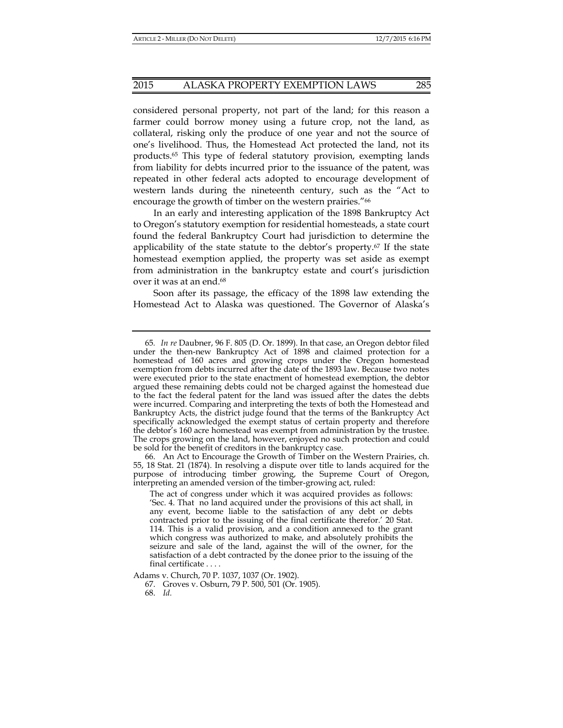# 2015 ALASKA PROPERTY EXEMPTION LAWS 285

considered personal property, not part of the land; for this reason a farmer could borrow money using a future crop, not the land, as collateral, risking only the produce of one year and not the source of one's livelihood. Thus, the Homestead Act protected the land, not its products.65 This type of federal statutory provision, exempting lands from liability for debts incurred prior to the issuance of the patent, was repeated in other federal acts adopted to encourage development of western lands during the nineteenth century, such as the "Act to encourage the growth of timber on the western prairies."<sup>66</sup>

In an early and interesting application of the 1898 Bankruptcy Act to Oregon's statutory exemption for residential homesteads, a state court found the federal Bankruptcy Court had jurisdiction to determine the applicability of the state statute to the debtor's property.<sup>67</sup> If the state homestead exemption applied, the property was set aside as exempt from administration in the bankruptcy estate and court's jurisdiction over it was at an end.68

Soon after its passage, the efficacy of the 1898 law extending the Homestead Act to Alaska was questioned. The Governor of Alaska's

Adams v. Church, 70 P. 1037, 1037 (Or. 1902).

<sup>65</sup>*. In re* Daubner, 96 F. 805 (D. Or. 1899). In that case, an Oregon debtor filed under the then-new Bankruptcy Act of 1898 and claimed protection for a homestead of 160 acres and growing crops under the Oregon homestead exemption from debts incurred after the date of the 1893 law. Because two notes were executed prior to the state enactment of homestead exemption, the debtor argued these remaining debts could not be charged against the homestead due to the fact the federal patent for the land was issued after the dates the debts were incurred. Comparing and interpreting the texts of both the Homestead and Bankruptcy Acts, the district judge found that the terms of the Bankruptcy Act specifically acknowledged the exempt status of certain property and therefore the debtor's 160 acre homestead was exempt from administration by the trustee. The crops growing on the land, however, enjoyed no such protection and could be sold for the benefit of creditors in the bankruptcy case.

 <sup>66.</sup> An Act to Encourage the Growth of Timber on the Western Prairies, ch. 55, 18 Stat. 21 (1874). In resolving a dispute over title to lands acquired for the purpose of introducing timber growing, the Supreme Court of Oregon, interpreting an amended version of the timber-growing act, ruled:

The act of congress under which it was acquired provides as follows: 'Sec. 4. That no land acquired under the provisions of this act shall, in any event, become liable to the satisfaction of any debt or debts contracted prior to the issuing of the final certificate therefor.' 20 Stat. 114. This is a valid provision, and a condition annexed to the grant which congress was authorized to make, and absolutely prohibits the seizure and sale of the land, against the will of the owner, for the satisfaction of a debt contracted by the donee prior to the issuing of the final certificate . . . .

 <sup>67.</sup> Groves v. Osburn, 79 P. 500, 501 (Or. 1905). 68. *Id.*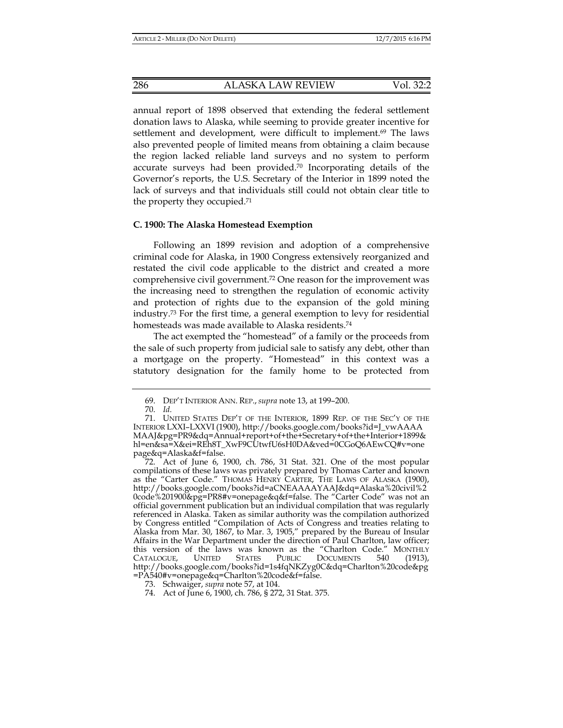286 ALASKA LAW REVIEW Vol. 32:2

annual report of 1898 observed that extending the federal settlement donation laws to Alaska, while seeming to provide greater incentive for settlement and development, were difficult to implement.<sup>69</sup> The laws also prevented people of limited means from obtaining a claim because the region lacked reliable land surveys and no system to perform accurate surveys had been provided.70 Incorporating details of the Governor's reports, the U.S. Secretary of the Interior in 1899 noted the lack of surveys and that individuals still could not obtain clear title to the property they occupied.71

#### **C. 1900: The Alaska Homestead Exemption**

Following an 1899 revision and adoption of a comprehensive criminal code for Alaska, in 1900 Congress extensively reorganized and restated the civil code applicable to the district and created a more comprehensive civil government.72 One reason for the improvement was the increasing need to strengthen the regulation of economic activity and protection of rights due to the expansion of the gold mining industry.73 For the first time, a general exemption to levy for residential homesteads was made available to Alaska residents.74

The act exempted the "homestead" of a family or the proceeds from the sale of such property from judicial sale to satisfy any debt, other than a mortgage on the property. "Homestead" in this context was a statutory designation for the family home to be protected from

 <sup>69.</sup> DEP'T INTERIOR ANN. REP., *supra* note 13, at 199–200.

 <sup>70.</sup> *Id.*

 <sup>71.</sup> UNITED STATES DEP'T OF THE INTERIOR, 1899 REP. OF THE SEC'Y OF THE INTERIOR LXXI–LXXVI (1900), http://books.google.com/books?id=J\_vwAAAA MAAJ&pg=PR9&dq=Annual+report+of+the+Secretary+of+the+Interior+1899& hl=en&sa=X&ei=REh8T\_XwF9CUtwfU6sH0DA&ved=0CGoQ6AEwCQ#v=one page&q=Alaska&f=false.

 <sup>72.</sup> Act of June 6, 1900, ch. 786, 31 Stat. 321. One of the most popular compilations of these laws was privately prepared by Thomas Carter and known as the "Carter Code." THOMAS HENRY CARTER, THE LAWS OF ALASKA (1900), http://books.google.com/books?id=aCNEAAAAYAAJ&dq=Alaska%20civil%2 0code%201900&pg=PR8#v=onepage&q&f=false. The "Carter Code" was not an official government publication but an individual compilation that was regularly referenced in Alaska. Taken as similar authority was the compilation authorized by Congress entitled "Compilation of Acts of Congress and treaties relating to Alaska from Mar. 30, 1867, to Mar. 3, 1905," prepared by the Bureau of Insular Affairs in the War Department under the direction of Paul Charlton, law officer; this version of the laws was known as the "Charlton Code." MONTHLY CATALOGUE, UNITED STATES PUBLIC DOCUMENTS 540 (1913), http://books.google.com/books?id=1s4fqNKZyg0C&dq=Charlton%20code&pg =PA540#v=onepage&q=Charlton%20code&f=false.

 <sup>73.</sup> Schwaiger, *supra* note 57, at 104.

 <sup>74.</sup> Act of June 6, 1900, ch. 786, § 272, 31 Stat. 375.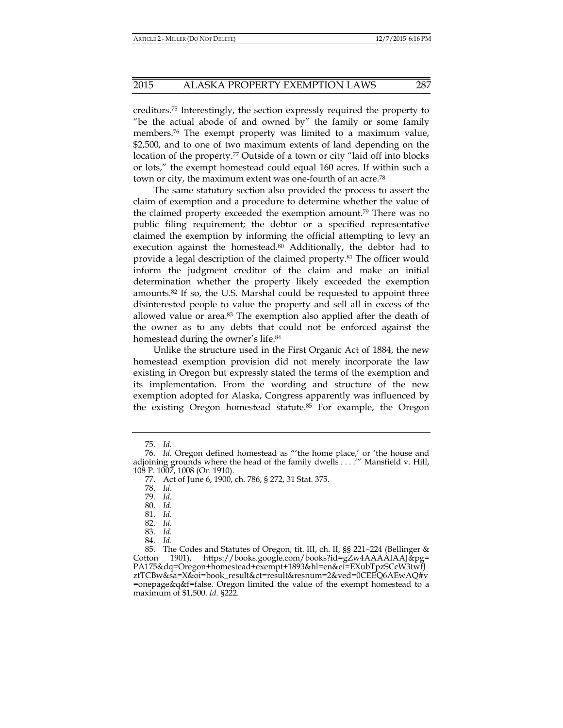creditors.75 Interestingly, the section expressly required the property to "be the actual abode of and owned by" the family or some family members.<sup>76</sup> The exempt property was limited to a maximum value, \$2,500, and to one of two maximum extents of land depending on the location of the property.<sup>77</sup> Outside of a town or city "laid off into blocks or lots," the exempt homestead could equal 160 acres. If within such a town or city, the maximum extent was one-fourth of an acre.78

The same statutory section also provided the process to assert the claim of exemption and a procedure to determine whether the value of the claimed property exceeded the exemption amount.79 There was no public filing requirement; the debtor or a specified representative claimed the exemption by informing the official attempting to levy an execution against the homestead.<sup>80</sup> Additionally, the debtor had to provide a legal description of the claimed property.81 The officer would inform the judgment creditor of the claim and make an initial determination whether the property likely exceeded the exemption amounts.82 If so, the U.S. Marshal could be requested to appoint three disinterested people to value the property and sell all in excess of the allowed value or area.83 The exemption also applied after the death of the owner as to any debts that could not be enforced against the homestead during the owner's life.<sup>84</sup>

Unlike the structure used in the First Organic Act of 1884, the new homestead exemption provision did not merely incorporate the law existing in Oregon but expressly stated the terms of the exemption and its implementation. From the wording and structure of the new exemption adopted for Alaska, Congress apparently was influenced by the existing Oregon homestead statute.85 For example, the Oregon

 <sup>75.</sup> *Id.* 

 <sup>76.</sup> *Id.* Oregon defined homestead as "'the home place,' or 'the house and adjoining grounds where the head of the family dwells . . . . " Mansfield v. Hill, 108 P. 1007, 1008 (Or. 1910).

 <sup>77.</sup> Act of June 6, 1900, ch. 786, § 272, 31 Stat. 375.

 <sup>78.</sup> *Id*.

 <sup>79.</sup> *Id.*

 <sup>80.</sup> *Id.*

 <sup>81.</sup> *Id.*

 <sup>82.</sup> *Id.*

 <sup>83.</sup> *Id.*

 <sup>84.</sup> *Id.*

 <sup>85.</sup> The Codes and Statutes of Oregon, tit. III, ch. II, §§ 221–224 (Bellinger & Cotton 1901), https://books.google.com/books?id=gZw4AAAAIAAJ&pg= PA175&dq=Oregon+homestead+exempt+1893&hl=en&ei=EXubTpzSCcW3twfJ ztTCBw&sa=X&oi=book\_result&ct=result&resnum=2&ved=0CEEQ6AEwAQ#v =onepage&q&f=false. Oregon limited the value of the exempt homestead to a maximum of \$1,500. *Id.* §222.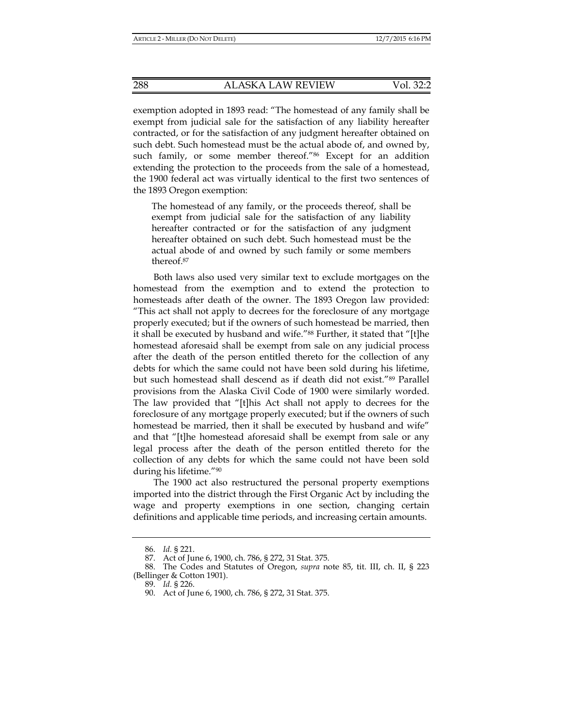exemption adopted in 1893 read: "The homestead of any family shall be exempt from judicial sale for the satisfaction of any liability hereafter contracted, or for the satisfaction of any judgment hereafter obtained on such debt. Such homestead must be the actual abode of, and owned by, such family, or some member thereof."86 Except for an addition extending the protection to the proceeds from the sale of a homestead, the 1900 federal act was virtually identical to the first two sentences of the 1893 Oregon exemption:

The homestead of any family, or the proceeds thereof, shall be exempt from judicial sale for the satisfaction of any liability hereafter contracted or for the satisfaction of any judgment hereafter obtained on such debt. Such homestead must be the actual abode of and owned by such family or some members thereof.87

Both laws also used very similar text to exclude mortgages on the homestead from the exemption and to extend the protection to homesteads after death of the owner. The 1893 Oregon law provided: "This act shall not apply to decrees for the foreclosure of any mortgage properly executed; but if the owners of such homestead be married, then it shall be executed by husband and wife."88 Further, it stated that "[t]he homestead aforesaid shall be exempt from sale on any judicial process after the death of the person entitled thereto for the collection of any debts for which the same could not have been sold during his lifetime, but such homestead shall descend as if death did not exist."89 Parallel provisions from the Alaska Civil Code of 1900 were similarly worded. The law provided that "[t]his Act shall not apply to decrees for the foreclosure of any mortgage properly executed; but if the owners of such homestead be married, then it shall be executed by husband and wife" and that "[t]he homestead aforesaid shall be exempt from sale or any legal process after the death of the person entitled thereto for the collection of any debts for which the same could not have been sold during his lifetime."90

The 1900 act also restructured the personal property exemptions imported into the district through the First Organic Act by including the wage and property exemptions in one section, changing certain definitions and applicable time periods, and increasing certain amounts.

 <sup>86.</sup> *Id.* § 221.

 <sup>87.</sup> Act of June 6, 1900, ch. 786, § 272, 31 Stat. 375.

 <sup>88.</sup> The Codes and Statutes of Oregon, *supra* note 85, tit. III, ch. II, § 223 (Bellinger & Cotton 1901).

 <sup>89.</sup> *Id.* § 226.

 <sup>90.</sup> Act of June 6, 1900, ch. 786, § 272, 31 Stat. 375.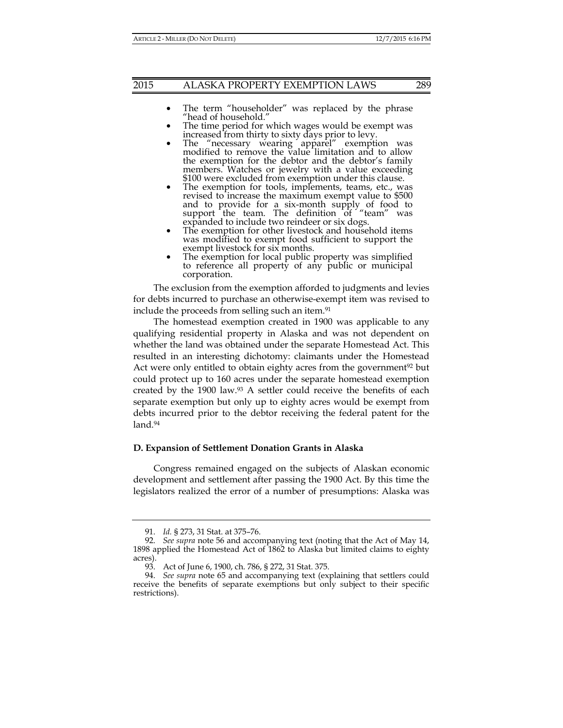# 2015 ALASKA PROPERTY EXEMPTION LAWS 289

- The term "householder" was replaced by the phrase "head of household."
- The time period for which wages would be exempt was increased from thirty to sixty days prior to levy.
- The "necessary wearing apparel" exemption was modified to remove the value limitation and to allow the exemption for the debtor and the debtor's family members. Watches or jewelry with a value exceeding \$100 were excluded from exemption under this clause.
- \$100 were excluded from exemption under this clause. The exemption for tools, implements, teams, etc., was revised to increase the maximum exempt value to \$500 and to provide for a six-month supply of food to support the team. The definition of "team" was
- expanded to include two reindeer or six dogs. The exemption for other livestock and household items was modified to exempt food sufficient to support the exempt livestock for six months.
- The exemption for local public property was simplified to reference all property of any public or municipal corporation.

The exclusion from the exemption afforded to judgments and levies for debts incurred to purchase an otherwise-exempt item was revised to include the proceeds from selling such an item.<sup>91</sup>

The homestead exemption created in 1900 was applicable to any qualifying residential property in Alaska and was not dependent on whether the land was obtained under the separate Homestead Act. This resulted in an interesting dichotomy: claimants under the Homestead Act were only entitled to obtain eighty acres from the government<sup>92</sup> but could protect up to 160 acres under the separate homestead exemption created by the 1900 law.93 A settler could receive the benefits of each separate exemption but only up to eighty acres would be exempt from debts incurred prior to the debtor receiving the federal patent for the land.<sup>94</sup>

#### **D. Expansion of Settlement Donation Grants in Alaska**

Congress remained engaged on the subjects of Alaskan economic development and settlement after passing the 1900 Act. By this time the legislators realized the error of a number of presumptions: Alaska was

 <sup>91.</sup> *Id.* § 273, 31 Stat. at 375–76.

 <sup>92.</sup> *See supra* note 56 and accompanying text (noting that the Act of May 14, 1898 applied the Homestead Act of 1862 to Alaska but limited claims to eighty acres).

 <sup>93.</sup> Act of June 6, 1900, ch. 786, § 272, 31 Stat. 375.

 <sup>94.</sup> *See supra* note 65 and accompanying text (explaining that settlers could receive the benefits of separate exemptions but only subject to their specific restrictions).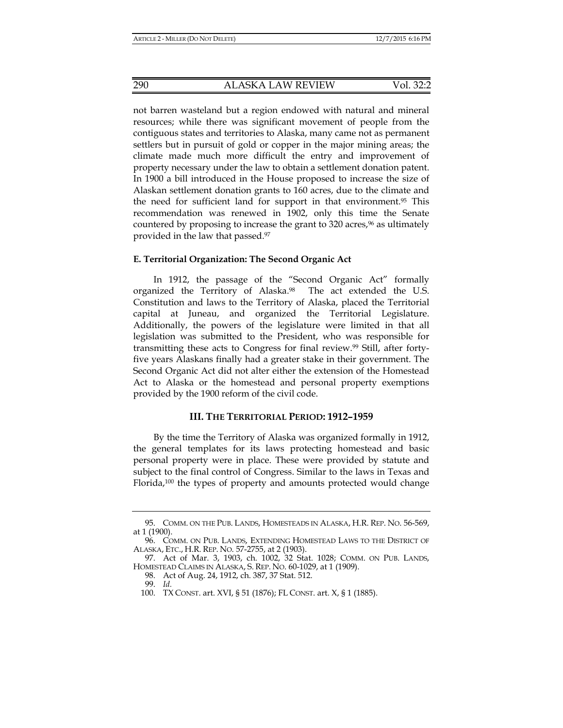not barren wasteland but a region endowed with natural and mineral resources; while there was significant movement of people from the contiguous states and territories to Alaska, many came not as permanent settlers but in pursuit of gold or copper in the major mining areas; the climate made much more difficult the entry and improvement of property necessary under the law to obtain a settlement donation patent. In 1900 a bill introduced in the House proposed to increase the size of Alaskan settlement donation grants to 160 acres, due to the climate and the need for sufficient land for support in that environment.95 This recommendation was renewed in 1902, only this time the Senate countered by proposing to increase the grant to  $320$  acres,<sup>96</sup> as ultimately provided in the law that passed.97

# **E. Territorial Organization: The Second Organic Act**

In 1912, the passage of the "Second Organic Act" formally organized the Territory of Alaska.98 The act extended the U.S. Constitution and laws to the Territory of Alaska, placed the Territorial capital at Juneau, and organized the Territorial Legislature. Additionally, the powers of the legislature were limited in that all legislation was submitted to the President, who was responsible for transmitting these acts to Congress for final review.99 Still, after fortyfive years Alaskans finally had a greater stake in their government. The Second Organic Act did not alter either the extension of the Homestead Act to Alaska or the homestead and personal property exemptions provided by the 1900 reform of the civil code.

#### **III. THE TERRITORIAL PERIOD: 1912–1959**

By the time the Territory of Alaska was organized formally in 1912, the general templates for its laws protecting homestead and basic personal property were in place. These were provided by statute and subject to the final control of Congress. Similar to the laws in Texas and Florida,100 the types of property and amounts protected would change

 <sup>95.</sup> COMM. ON THE PUB. LANDS, HOMESTEADS IN ALASKA, H.R. REP. NO. 56-569, at 1 (1900).

 <sup>96.</sup> COMM. ON PUB. LANDS, EXTENDING HOMESTEAD LAWS TO THE DISTRICT OF ALASKA, ETC., H.R. REP. NO. 57-2755, at 2 (1903).

 <sup>97.</sup> Act of Mar. 3, 1903, ch. 1002, 32 Stat. 1028; COMM. ON PUB. LANDS, HOMESTEAD CLAIMS IN ALASKA, S. REP. NO. 60-1029, at 1 (1909).

 <sup>98.</sup> Act of Aug. 24, 1912, ch. 387, 37 Stat. 512.

 <sup>99.</sup> *Id.*

 <sup>100.</sup> TX CONST. art. XVI, § 51 (1876); FL CONST. art. X, § 1 (1885).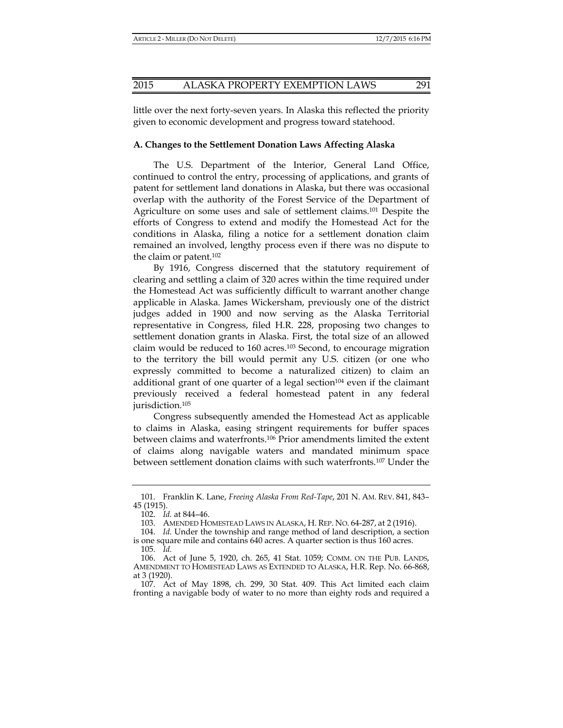little over the next forty-seven years. In Alaska this reflected the priority given to economic development and progress toward statehood.

### **A. Changes to the Settlement Donation Laws Affecting Alaska**

The U.S. Department of the Interior, General Land Office, continued to control the entry, processing of applications, and grants of patent for settlement land donations in Alaska, but there was occasional overlap with the authority of the Forest Service of the Department of Agriculture on some uses and sale of settlement claims.101 Despite the efforts of Congress to extend and modify the Homestead Act for the conditions in Alaska, filing a notice for a settlement donation claim remained an involved, lengthy process even if there was no dispute to the claim or patent.102

By 1916, Congress discerned that the statutory requirement of clearing and settling a claim of 320 acres within the time required under the Homestead Act was sufficiently difficult to warrant another change applicable in Alaska. James Wickersham, previously one of the district judges added in 1900 and now serving as the Alaska Territorial representative in Congress, filed H.R. 228, proposing two changes to settlement donation grants in Alaska. First, the total size of an allowed claim would be reduced to 160 acres.103 Second, to encourage migration to the territory the bill would permit any U.S. citizen (or one who expressly committed to become a naturalized citizen) to claim an additional grant of one quarter of a legal section<sup>104</sup> even if the claimant previously received a federal homestead patent in any federal jurisdiction.105

Congress subsequently amended the Homestead Act as applicable to claims in Alaska, easing stringent requirements for buffer spaces between claims and waterfronts.106 Prior amendments limited the extent of claims along navigable waters and mandated minimum space between settlement donation claims with such waterfronts.107 Under the

 <sup>101.</sup> Franklin K. Lane, *Freeing Alaska From Red-Tape*, 201 N. AM. REV. 841, 843– 45 (1915).

 <sup>102.</sup> *Id.* at 844–46.

 <sup>103.</sup> AMENDED HOMESTEAD LAWS IN ALASKA, H. REP. NO. 64-287, at 2 (1916).

 <sup>104.</sup> *Id.* Under the township and range method of land description, a section is one square mile and contains 640 acres. A quarter section is thus 160 acres.

 <sup>105.</sup> *Id.*

 <sup>106.</sup> Act of June 5, 1920, ch. 265, 41 Stat. 1059; COMM. ON THE PUB. LANDS, AMENDMENT TO HOMESTEAD LAWS AS EXTENDED TO ALASKA, H.R. Rep. No. 66-868, at 3 (1920).

 <sup>107.</sup> Act of May 1898, ch. 299, 30 Stat. 409. This Act limited each claim fronting a navigable body of water to no more than eighty rods and required a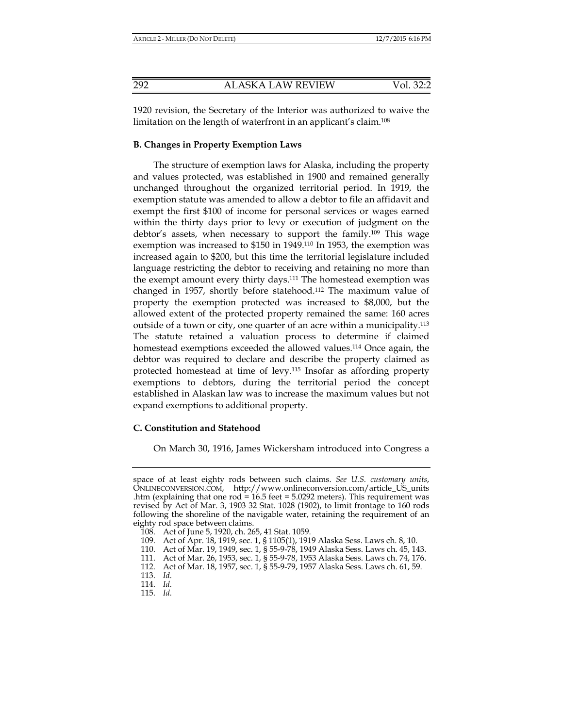1920 revision, the Secretary of the Interior was authorized to waive the limitation on the length of waterfront in an applicant's claim.108

# **B. Changes in Property Exemption Laws**

The structure of exemption laws for Alaska, including the property and values protected, was established in 1900 and remained generally unchanged throughout the organized territorial period. In 1919, the exemption statute was amended to allow a debtor to file an affidavit and exempt the first \$100 of income for personal services or wages earned within the thirty days prior to levy or execution of judgment on the debtor's assets, when necessary to support the family.109 This wage exemption was increased to \$150 in 1949.110 In 1953, the exemption was increased again to \$200, but this time the territorial legislature included language restricting the debtor to receiving and retaining no more than the exempt amount every thirty days.111 The homestead exemption was changed in 1957, shortly before statehood.112 The maximum value of property the exemption protected was increased to \$8,000, but the allowed extent of the protected property remained the same: 160 acres outside of a town or city, one quarter of an acre within a municipality.113 The statute retained a valuation process to determine if claimed homestead exemptions exceeded the allowed values.<sup>114</sup> Once again, the debtor was required to declare and describe the property claimed as protected homestead at time of levy.115 Insofar as affording property exemptions to debtors, during the territorial period the concept established in Alaskan law was to increase the maximum values but not expand exemptions to additional property.

# **C. Constitution and Statehood**

On March 30, 1916, James Wickersham introduced into Congress a

space of at least eighty rods between such claims. *See U.S. customary units*, ONLINECONVERSION.COM, http://www.onlineconversion.com/article\_US\_units .htm (explaining that one rod =  $16.5$  feet =  $5.0292$  meters). This requirement was revised by Act of Mar. 3, 1903 32 Stat. 1028 (1902), to limit frontage to 160 rods following the shoreline of the navigable water, retaining the requirement of an eighty rod space between claims.

 <sup>108.</sup> Act of June 5, 1920, ch. 265, 41 Stat. 1059.

 <sup>109.</sup> Act of Apr. 18, 1919, sec. 1, § 1105(1), 1919 Alaska Sess. Laws ch. 8, 10.

 <sup>110.</sup> Act of Mar. 19, 1949, sec. 1, § 55-9-78, 1949 Alaska Sess. Laws ch. 45, 143.

 <sup>111.</sup> Act of Mar. 26, 1953, sec. 1, § 55-9-78, 1953 Alaska Sess. Laws ch. 74, 176.

 <sup>112.</sup> Act of Mar. 18, 1957, sec. 1, § 55-9-79, 1957 Alaska Sess. Laws ch. 61, 59.

 <sup>113.</sup> *Id.*

 <sup>114.</sup> *Id.*

 <sup>115.</sup> *Id.*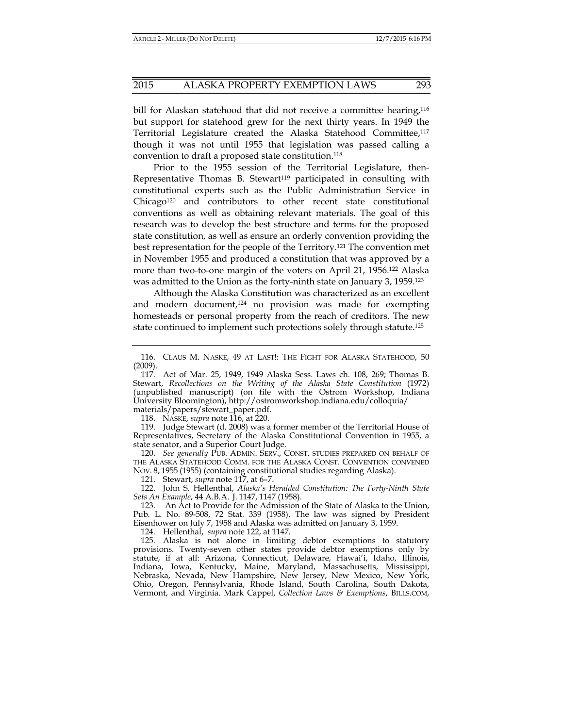bill for Alaskan statehood that did not receive a committee hearing,<sup>116</sup> but support for statehood grew for the next thirty years. In 1949 the Territorial Legislature created the Alaska Statehood Committee,117 though it was not until 1955 that legislation was passed calling a convention to draft a proposed state constitution.118

Prior to the 1955 session of the Territorial Legislature, then-Representative Thomas B. Stewart<sup>119</sup> participated in consulting with constitutional experts such as the Public Administration Service in Chicago<sup>120</sup> and contributors to other recent state constitutional conventions as well as obtaining relevant materials. The goal of this research was to develop the best structure and terms for the proposed state constitution, as well as ensure an orderly convention providing the best representation for the people of the Territory.121 The convention met in November 1955 and produced a constitution that was approved by a more than two-to-one margin of the voters on April 21, 1956.<sup>122</sup> Alaska was admitted to the Union as the forty-ninth state on January 3, 1959.<sup>123</sup>

Although the Alaska Constitution was characterized as an excellent and modern document,<sup>124</sup> no provision was made for exempting homesteads or personal property from the reach of creditors. The new state continued to implement such protections solely through statute.125

118. NASKE, *supra* note 116, at 220.

 119. Judge Stewart (d. 2008) was a former member of the Territorial House of Representatives, Secretary of the Alaska Constitutional Convention in 1955, a state senator, and a Superior Court Judge.

 120. *See generally* PUB. ADMIN. SERV., CONST. STUDIES PREPARED ON BEHALF OF THE ALASKA STATEHOOD COMM. FOR THE ALASKA CONST. CONVENTION CONVENED NOV. 8, 1955 (1955) (containing constitutional studies regarding Alaska).

121. Stewart, *supra* note 117, at 6–7.

 122. John S. Hellenthal, *Alaska's Heralded Constitution: The Forty-Ninth State Sets An Example*, 44 A.B.A. J. 1147, 1147 (1958).

 123. An Act to Provide for the Admission of the State of Alaska to the Union, Pub. L. No. 89-508, 72 Stat. 339 (1958). The law was signed by President Eisenhower on July 7, 1958 and Alaska was admitted on January 3, 1959.

124. Hellenthal, *supra* note 122, at 1147*.*

 125. Alaska is not alone in limiting debtor exemptions to statutory provisions. Twenty-seven other states provide debtor exemptions only by statute, if at all: Arizona, Connecticut, Delaware, Hawai'i, Idaho, Illinois, Indiana, Iowa, Kentucky, Maine, Maryland, Massachusetts, Mississippi, Nebraska, Nevada, New Hampshire, New Jersey, New Mexico, New York, Ohio, Oregon, Pennsylvania, Rhode Island, South Carolina, South Dakota, Vermont, and Virginia. Mark Cappel, *Collection Laws & Exemptions*, BILLS.COM,

 <sup>116.</sup> CLAUS M. NASKE, 49 AT LAST!: THE FIGHT FOR ALASKA STATEHOOD, 50 (2009).

 <sup>117.</sup> Act of Mar. 25, 1949, 1949 Alaska Sess. Laws ch. 108, 269; Thomas B. Stewart, *Recollections on the Writing of the Alaska State Constitution* (1972) (unpublished manuscript) (on file with the Ostrom Workshop, Indiana University Bloomington), http://ostromworkshop.indiana.edu/colloquia/ materials/papers/stewart\_paper.pdf.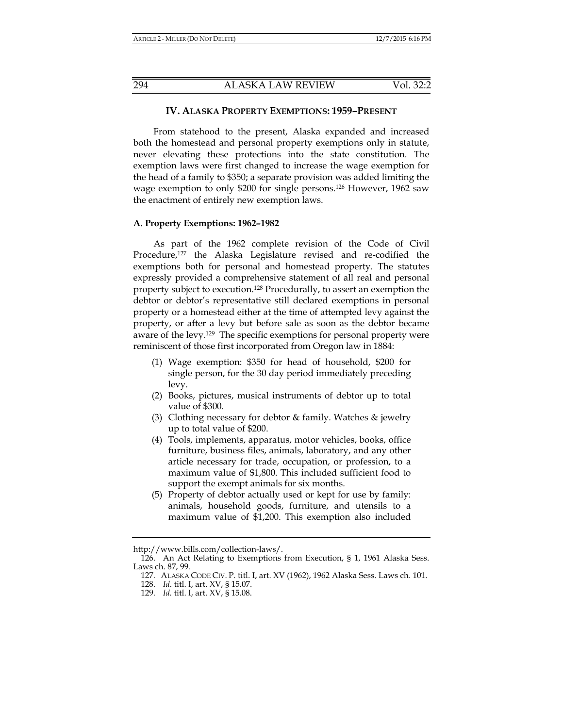#### **IV. ALASKA PROPERTY EXEMPTIONS: 1959–PRESENT**

From statehood to the present, Alaska expanded and increased both the homestead and personal property exemptions only in statute, never elevating these protections into the state constitution. The exemption laws were first changed to increase the wage exemption for the head of a family to \$350; a separate provision was added limiting the wage exemption to only \$200 for single persons.126 However, 1962 saw the enactment of entirely new exemption laws.

#### **A. Property Exemptions: 1962–1982**

As part of the 1962 complete revision of the Code of Civil Procedure,127 the Alaska Legislature revised and re-codified the exemptions both for personal and homestead property. The statutes expressly provided a comprehensive statement of all real and personal property subject to execution.128 Procedurally, to assert an exemption the debtor or debtor's representative still declared exemptions in personal property or a homestead either at the time of attempted levy against the property, or after a levy but before sale as soon as the debtor became aware of the levy.129 The specific exemptions for personal property were reminiscent of those first incorporated from Oregon law in 1884:

- (1) Wage exemption: \$350 for head of household, \$200 for single person, for the 30 day period immediately preceding levy.
- (2) Books, pictures, musical instruments of debtor up to total value of \$300.
- (3) Clothing necessary for debtor  $\&$  family. Watches  $\&$  jewelry up to total value of \$200.
- (4) Tools, implements, apparatus, motor vehicles, books, office furniture, business files, animals, laboratory, and any other article necessary for trade, occupation, or profession, to a maximum value of \$1,800. This included sufficient food to support the exempt animals for six months.
- (5) Property of debtor actually used or kept for use by family: animals, household goods, furniture, and utensils to a maximum value of \$1,200. This exemption also included

http://www.bills.com/collection-laws/.

 <sup>126.</sup> An Act Relating to Exemptions from Execution, § 1, 1961 Alaska Sess. Laws ch. 87, 99.

 <sup>127.</sup> ALASKA CODE CIV. P. titl. I, art. XV (1962), 1962 Alaska Sess. Laws ch. 101.

 <sup>128.</sup> *Id*. titl. I, art. XV, § 15.07.

 <sup>129.</sup> *Id.* titl. I, art. XV, § 15.08.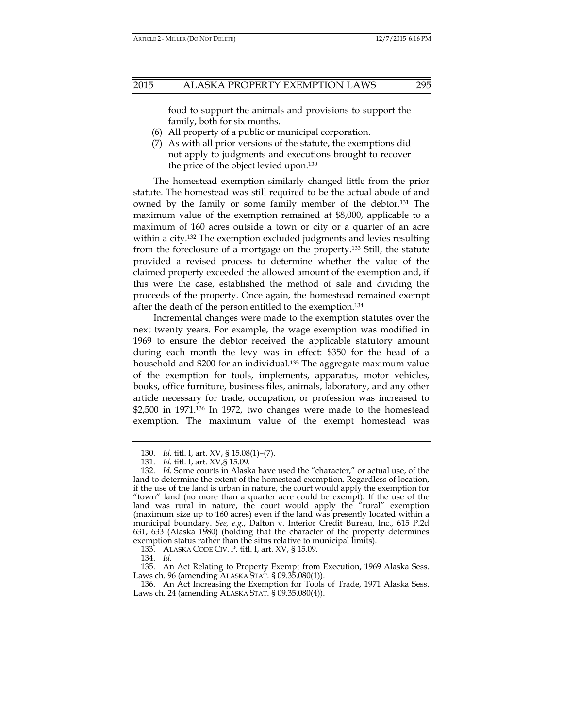food to support the animals and provisions to support the family, both for six months.

- (6) All property of a public or municipal corporation.
- (7) As with all prior versions of the statute, the exemptions did not apply to judgments and executions brought to recover the price of the object levied upon.130

The homestead exemption similarly changed little from the prior statute. The homestead was still required to be the actual abode of and owned by the family or some family member of the debtor.131 The maximum value of the exemption remained at \$8,000, applicable to a maximum of 160 acres outside a town or city or a quarter of an acre within a city.132 The exemption excluded judgments and levies resulting from the foreclosure of a mortgage on the property.133 Still, the statute provided a revised process to determine whether the value of the claimed property exceeded the allowed amount of the exemption and, if this were the case, established the method of sale and dividing the proceeds of the property. Once again, the homestead remained exempt after the death of the person entitled to the exemption.134

Incremental changes were made to the exemption statutes over the next twenty years. For example, the wage exemption was modified in 1969 to ensure the debtor received the applicable statutory amount during each month the levy was in effect: \$350 for the head of a household and \$200 for an individual.<sup>135</sup> The aggregate maximum value of the exemption for tools, implements, apparatus, motor vehicles, books, office furniture, business files, animals, laboratory, and any other article necessary for trade, occupation, or profession was increased to \$2,500 in 1971.<sup>136</sup> In 1972, two changes were made to the homestead exemption. The maximum value of the exempt homestead was

133. ALASKA CODE CIV. P. titl. I, art. XV, § 15.09.

134. *Id.*

 <sup>130.</sup> *Id.* titl. I, art. XV, § 15.08(1)–(7).

 <sup>131.</sup> *Id.* titl. I, art. XV,§ 15.09.

 <sup>132.</sup> *Id.* Some courts in Alaska have used the "character," or actual use, of the land to determine the extent of the homestead exemption. Regardless of location, if the use of the land is urban in nature, the court would apply the exemption for "town" land (no more than a quarter acre could be exempt). If the use of the land was rural in nature, the court would apply the "rural" exemption (maximum size up to 160 acres) even if the land was presently located within a municipal boundary. *See, e.g.*, Dalton v. Interior Credit Bureau, Inc*.,* 615 P.2d 631, 633 (Alaska 1980) (holding that the character of the property determines exemption status rather than the situs relative to municipal limits).

 <sup>135.</sup> An Act Relating to Property Exempt from Execution, 1969 Alaska Sess. Laws ch. 96 (amending ALASKA STAT. § 09.35.080(1)).

 <sup>136.</sup> An Act Increasing the Exemption for Tools of Trade, 1971 Alaska Sess. Laws ch. 24 (amending ALASKA STAT. § 09.35.080(4)).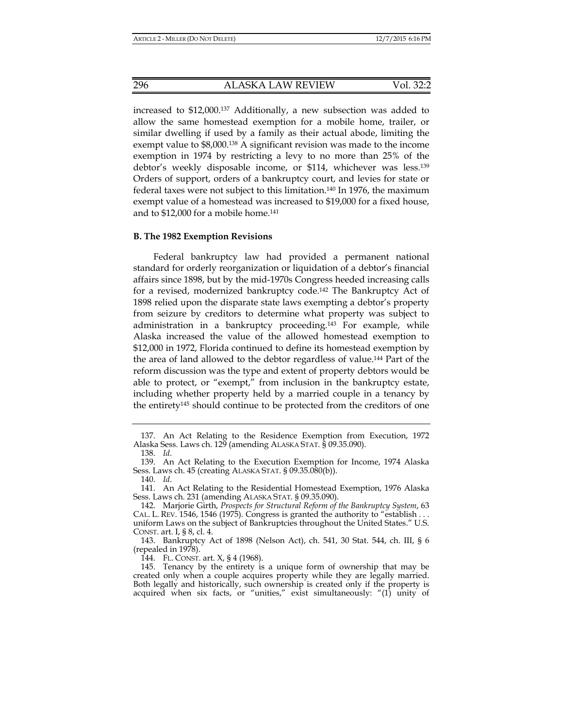increased to \$12,000.137 Additionally, a new subsection was added to allow the same homestead exemption for a mobile home, trailer, or similar dwelling if used by a family as their actual abode, limiting the exempt value to \$8,000.138 A significant revision was made to the income exemption in 1974 by restricting a levy to no more than 25% of the debtor's weekly disposable income, or \$114, whichever was less.139 Orders of support, orders of a bankruptcy court, and levies for state or federal taxes were not subject to this limitation.140 In 1976, the maximum exempt value of a homestead was increased to \$19,000 for a fixed house, and to \$12,000 for a mobile home.141

## **B. The 1982 Exemption Revisions**

Federal bankruptcy law had provided a permanent national standard for orderly reorganization or liquidation of a debtor's financial affairs since 1898, but by the mid-1970s Congress heeded increasing calls for a revised, modernized bankruptcy code.142 The Bankruptcy Act of 1898 relied upon the disparate state laws exempting a debtor's property from seizure by creditors to determine what property was subject to administration in a bankruptcy proceeding.143 For example, while Alaska increased the value of the allowed homestead exemption to \$12,000 in 1972, Florida continued to define its homestead exemption by the area of land allowed to the debtor regardless of value.144 Part of the reform discussion was the type and extent of property debtors would be able to protect, or "exempt," from inclusion in the bankruptcy estate, including whether property held by a married couple in a tenancy by the entirety145 should continue to be protected from the creditors of one

144. FL. CONST. art. X, § 4 (1968).

 <sup>137.</sup> An Act Relating to the Residence Exemption from Execution, 1972 Alaska Sess. Laws ch. 129 (amending ALASKA STAT. § 09.35.090).

 <sup>138.</sup> *Id*.

 <sup>139.</sup> An Act Relating to the Execution Exemption for Income, 1974 Alaska Sess. Laws ch. 45 (creating ALASKA STAT. § 09.35.080(b)).

 <sup>140.</sup> *Id*.

 <sup>141.</sup> An Act Relating to the Residential Homestead Exemption, 1976 Alaska Sess. Laws ch. 231 (amending ALASKA STAT. § 09.35.090).

 <sup>142.</sup> Marjorie Girth, *Prospects for Structural Reform of the Bankruptcy System*, 63 CAL. L. REV. 1546, 1546 (1975). Congress is granted the authority to "establish . . . uniform Laws on the subject of Bankruptcies throughout the United States." U.S. CONST. art. I, § 8, cl. 4.

 <sup>143.</sup> Bankruptcy Act of 1898 (Nelson Act), ch. 541, 30 Stat. 544, ch. III, § 6 (repealed in 1978).

 <sup>145.</sup> Tenancy by the entirety is a unique form of ownership that may be created only when a couple acquires property while they are legally married. Both legally and historically, such ownership is created only if the property is acquired when six facts, or "unities," exist simultaneously: "(1) unity of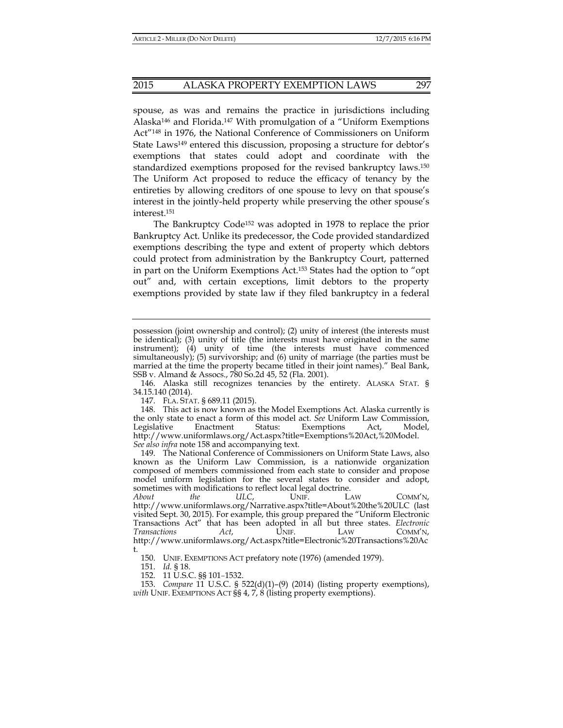# 2015 ALASKA PROPERTY EXEMPTION LAWS 297

spouse, as was and remains the practice in jurisdictions including Alaska<sup>146</sup> and Florida.<sup>147</sup> With promulgation of a "Uniform Exemptions" Act"148 in 1976, the National Conference of Commissioners on Uniform State Laws<sup>149</sup> entered this discussion, proposing a structure for debtor's exemptions that states could adopt and coordinate with the standardized exemptions proposed for the revised bankruptcy laws.150 The Uniform Act proposed to reduce the efficacy of tenancy by the entireties by allowing creditors of one spouse to levy on that spouse's interest in the jointly-held property while preserving the other spouse's interest.151

The Bankruptcy Code152 was adopted in 1978 to replace the prior Bankruptcy Act. Unlike its predecessor, the Code provided standardized exemptions describing the type and extent of property which debtors could protect from administration by the Bankruptcy Court, patterned in part on the Uniform Exemptions Act.153 States had the option to "opt out" and, with certain exceptions, limit debtors to the property exemptions provided by state law if they filed bankruptcy in a federal

147. FLA. STAT. § 689.11 (2015).

150. UNIF. EXEMPTIONS ACT prefatory note (1976) (amended 1979).

151. *Id.* § 18.

152. 11 U.S.C. §§ 101–1532.

 153. *Compare* 11 U.S.C. § 522(d)(1)–(9) (2014) (listing property exemptions), *with* UNIF. EXEMPTIONS ACT §§ 4, 7, 8 (listing property exemptions).

possession (joint ownership and control); (2) unity of interest (the interests must be identical); (3) unity of title (the interests must have originated in the same instrument); (4) unity of time (the interests must have commenced simultaneously); (5) survivorship; and (6) unity of marriage (the parties must be married at the time the property became titled in their joint names)." Beal Bank, SSB v. Almand & Assocs., 780 So.2d 45, 52 (Fla. 2001).

 <sup>146.</sup> Alaska still recognizes tenancies by the entirety. ALASKA STAT. § 34.15.140 (2014).

 <sup>148.</sup> This act is now known as the Model Exemptions Act. Alaska currently is the only state to enact a form of this model act. *See* Uniform Law Commission, Legislative Enactment Status: Exemptions Act, Model, http://www.uniformlaws.org/Act.aspx?title=Exemptions%20Act,%20Model. *See also infra* note 158 and accompanying text.

 <sup>149.</sup> The National Conference of Commissioners on Uniform State Laws, also known as the Uniform Law Commission, is a nationwide organization composed of members commissioned from each state to consider and propose model uniform legislation for the several states to consider and adopt, sometimes with modifications to reflect local legal doctrine.

*About the ULC*, UNIF. LAW COMM'N, http://www.uniformlaws.org/Narrative.aspx?title=About%20the%20ULC (last visited Sept. 30, 2015). For example, this group prepared the "Uniform Electronic Transactions Act" that has been adopted in all but three states. *Electronic Transactions Act*, UNIF. LAW COMM'N, http://www.uniformlaws.org/Act.aspx?title=Electronic%20Transactions%20Ac t.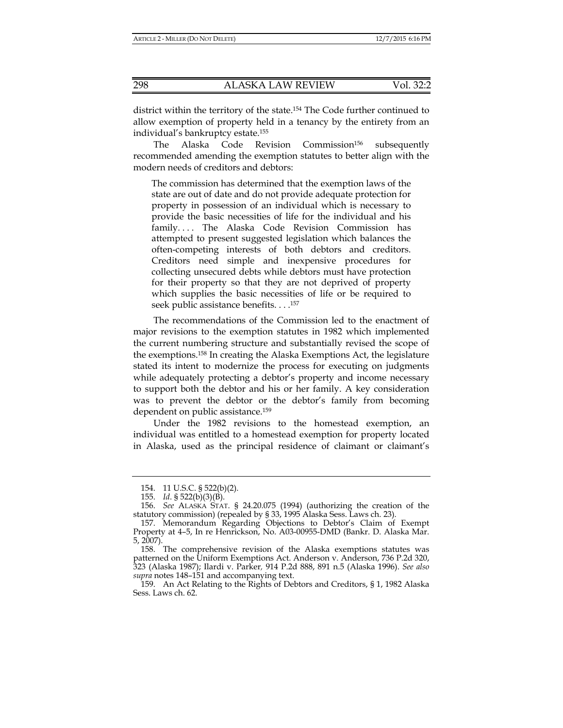district within the territory of the state.154 The Code further continued to allow exemption of property held in a tenancy by the entirety from an individual's bankruptcy estate.155

The Alaska Code Revision Commission156 subsequently recommended amending the exemption statutes to better align with the modern needs of creditors and debtors:

The commission has determined that the exemption laws of the state are out of date and do not provide adequate protection for property in possession of an individual which is necessary to provide the basic necessities of life for the individual and his family.... The Alaska Code Revision Commission has attempted to present suggested legislation which balances the often-competing interests of both debtors and creditors. Creditors need simple and inexpensive procedures for collecting unsecured debts while debtors must have protection for their property so that they are not deprived of property which supplies the basic necessities of life or be required to seek public assistance benefits. . . .157

The recommendations of the Commission led to the enactment of major revisions to the exemption statutes in 1982 which implemented the current numbering structure and substantially revised the scope of the exemptions.158 In creating the Alaska Exemptions Act, the legislature stated its intent to modernize the process for executing on judgments while adequately protecting a debtor's property and income necessary to support both the debtor and his or her family. A key consideration was to prevent the debtor or the debtor's family from becoming dependent on public assistance.159

Under the 1982 revisions to the homestead exemption, an individual was entitled to a homestead exemption for property located in Alaska, used as the principal residence of claimant or claimant's

 <sup>154. 11</sup> U.S.C. § 522(b)(2).

 <sup>155.</sup> *Id*. § 522(b)(3)(B).

 <sup>156.</sup> *See* ALASKA STAT. § 24.20.075 (1994) (authorizing the creation of the statutory commission) (repealed by § 33, 1995 Alaska Sess. Laws ch. 23).

 <sup>157.</sup> Memorandum Regarding Objections to Debtor's Claim of Exempt Property at 4–5, In re Henrickson, No. A03-00955-DMD (Bankr. D. Alaska Mar. 5, 2007).

 <sup>158.</sup> The comprehensive revision of the Alaska exemptions statutes was patterned on the Uniform Exemptions Act. Anderson v. Anderson, 736 P.2d 320, 323 (Alaska 1987); Ilardi v. Parker*,* 914 P.2d 888, 891 n.5 (Alaska 1996). *See also supra* notes 148–151 and accompanying text.

 <sup>159.</sup> An Act Relating to the Rights of Debtors and Creditors, § 1, 1982 Alaska Sess. Laws ch. 62.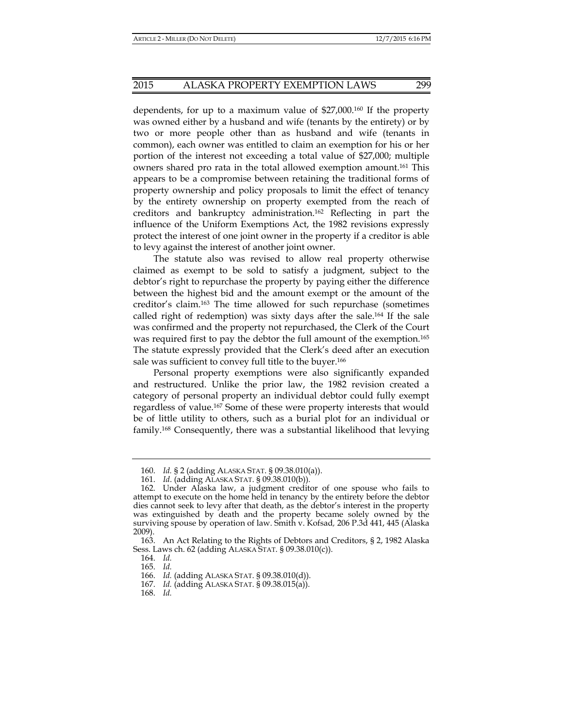# 2015 ALASKA PROPERTY EXEMPTION LAWS 299

dependents, for up to a maximum value of \$27,000.160 If the property was owned either by a husband and wife (tenants by the entirety) or by two or more people other than as husband and wife (tenants in common), each owner was entitled to claim an exemption for his or her portion of the interest not exceeding a total value of \$27,000; multiple owners shared pro rata in the total allowed exemption amount.161 This appears to be a compromise between retaining the traditional forms of property ownership and policy proposals to limit the effect of tenancy by the entirety ownership on property exempted from the reach of creditors and bankruptcy administration.162 Reflecting in part the influence of the Uniform Exemptions Act, the 1982 revisions expressly protect the interest of one joint owner in the property if a creditor is able to levy against the interest of another joint owner.

The statute also was revised to allow real property otherwise claimed as exempt to be sold to satisfy a judgment, subject to the debtor's right to repurchase the property by paying either the difference between the highest bid and the amount exempt or the amount of the creditor's claim.163 The time allowed for such repurchase (sometimes called right of redemption) was sixty days after the sale.164 If the sale was confirmed and the property not repurchased, the Clerk of the Court was required first to pay the debtor the full amount of the exemption.165 The statute expressly provided that the Clerk's deed after an execution sale was sufficient to convey full title to the buyer.<sup>166</sup>

Personal property exemptions were also significantly expanded and restructured. Unlike the prior law, the 1982 revision created a category of personal property an individual debtor could fully exempt regardless of value.167 Some of these were property interests that would be of little utility to others, such as a burial plot for an individual or family.168 Consequently, there was a substantial likelihood that levying

164. *Id.* 

165. *Id.* 

168. *Id.* 

 <sup>160.</sup> *Id.* § 2 (adding ALASKA STAT. § 09.38.010(a)).

 <sup>161.</sup> *Id*. (adding ALASKA STAT. § 09.38.010(b)).

 <sup>162.</sup> Under Alaska law, a judgment creditor of one spouse who fails to attempt to execute on the home held in tenancy by the entirety before the debtor dies cannot seek to levy after that death, as the debtor's interest in the property was extinguished by death and the property became solely owned by the surviving spouse by operation of law. Smith v. Kofsad*,* 206 P.3d 441, 445 (Alaska 2009).

 <sup>163.</sup> An Act Relating to the Rights of Debtors and Creditors, § 2, 1982 Alaska Sess. Laws ch. 62 (adding ALASKA STAT. § 09.38.010(c)).

 <sup>166.</sup> *Id.* (adding ALASKA STAT. § 09.38.010(d)).

 <sup>167.</sup> *Id.* (adding ALASKA STAT. § 09.38.015(a)).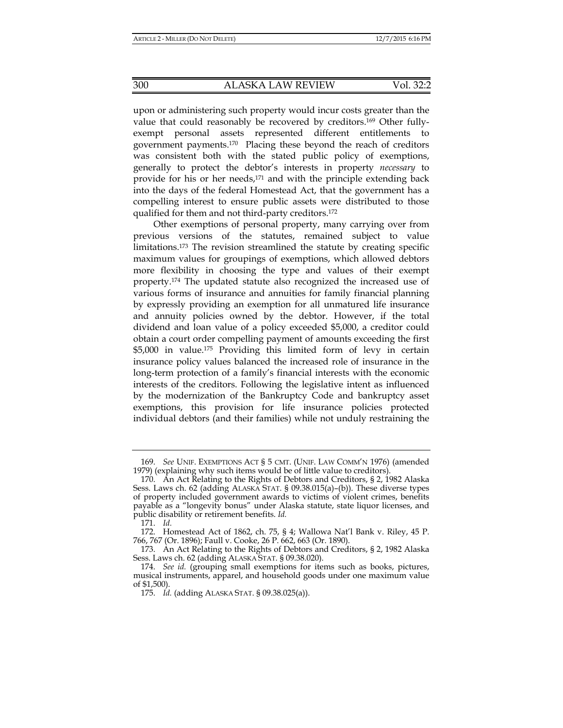upon or administering such property would incur costs greater than the value that could reasonably be recovered by creditors.169 Other fullyexempt personal assets represented different entitlements to government payments.170 Placing these beyond the reach of creditors was consistent both with the stated public policy of exemptions, generally to protect the debtor's interests in property *necessary* to provide for his or her needs,171 and with the principle extending back into the days of the federal Homestead Act, that the government has a compelling interest to ensure public assets were distributed to those qualified for them and not third-party creditors.172

Other exemptions of personal property, many carrying over from previous versions of the statutes, remained subject to value limitations.173 The revision streamlined the statute by creating specific maximum values for groupings of exemptions, which allowed debtors more flexibility in choosing the type and values of their exempt property.174 The updated statute also recognized the increased use of various forms of insurance and annuities for family financial planning by expressly providing an exemption for all unmatured life insurance and annuity policies owned by the debtor. However, if the total dividend and loan value of a policy exceeded \$5,000, a creditor could obtain a court order compelling payment of amounts exceeding the first \$5,000 in value.175 Providing this limited form of levy in certain insurance policy values balanced the increased role of insurance in the long-term protection of a family's financial interests with the economic interests of the creditors. Following the legislative intent as influenced by the modernization of the Bankruptcy Code and bankruptcy asset exemptions, this provision for life insurance policies protected individual debtors (and their families) while not unduly restraining the

 <sup>169.</sup> *See* UNIF. EXEMPTIONS ACT § 5 CMT. (UNIF. LAW COMM'N 1976) (amended 1979) (explaining why such items would be of little value to creditors).

 <sup>170.</sup> An Act Relating to the Rights of Debtors and Creditors, § 2, 1982 Alaska Sess. Laws ch. 62 (adding ALASKA STAT. § 09.38.015(a)–(b)). These diverse types of property included government awards to victims of violent crimes, benefits payable as a "longevity bonus" under Alaska statute, state liquor licenses, and public disability or retirement benefits. *Id.* 

 <sup>171.</sup> *Id.*

 <sup>172.</sup> Homestead Act of 1862, ch. 75, § 4; Wallowa Nat'l Bank v. Riley, 45 P. 766, 767 (Or. 1896); Faull v. Cooke, 26 P. 662, 663 (Or. 1890).

 <sup>173.</sup> An Act Relating to the Rights of Debtors and Creditors, § 2, 1982 Alaska Sess. Laws ch. 62 (adding ALASKA STAT. § 09.38.020).

 <sup>174.</sup> *See id.* (grouping small exemptions for items such as books, pictures, musical instruments, apparel, and household goods under one maximum value of \$1,500).

 <sup>175.</sup> *Id.* (adding ALASKA STAT. § 09.38.025(a)).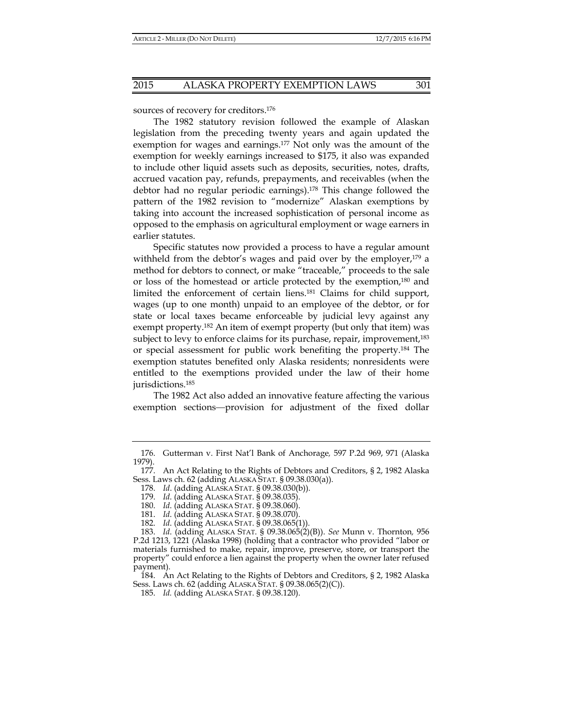sources of recovery for creditors.176

The 1982 statutory revision followed the example of Alaskan legislation from the preceding twenty years and again updated the exemption for wages and earnings.177 Not only was the amount of the exemption for weekly earnings increased to \$175, it also was expanded to include other liquid assets such as deposits, securities, notes, drafts, accrued vacation pay, refunds, prepayments, and receivables (when the debtor had no regular periodic earnings).178 This change followed the pattern of the 1982 revision to "modernize" Alaskan exemptions by taking into account the increased sophistication of personal income as opposed to the emphasis on agricultural employment or wage earners in earlier statutes.

Specific statutes now provided a process to have a regular amount withheld from the debtor's wages and paid over by the employer,<sup>179</sup> a method for debtors to connect, or make "traceable," proceeds to the sale or loss of the homestead or article protected by the exemption,180 and limited the enforcement of certain liens.181 Claims for child support, wages (up to one month) unpaid to an employee of the debtor, or for state or local taxes became enforceable by judicial levy against any exempt property.182 An item of exempt property (but only that item) was subject to levy to enforce claims for its purchase, repair, improvement,<sup>183</sup> or special assessment for public work benefiting the property.184 The exemption statutes benefited only Alaska residents; nonresidents were entitled to the exemptions provided under the law of their home jurisdictions.185

The 1982 Act also added an innovative feature affecting the various exemption sections—provision for adjustment of the fixed dollar

 184. An Act Relating to the Rights of Debtors and Creditors, § 2, 1982 Alaska Sess. Laws ch. 62 (adding ALASKA STAT. § 09.38.065(2)(C)).

 <sup>176.</sup> Gutterman v. First Nat'l Bank of Anchorage*,* 597 P.2d 969, 971 (Alaska 1979).

 <sup>177.</sup> An Act Relating to the Rights of Debtors and Creditors, § 2, 1982 Alaska Sess. Laws ch. 62 (adding ALASKA STAT. § 09.38.030(a)).

 <sup>178.</sup> *Id*. (adding ALASKA STAT. § 09.38.030(b)).

 <sup>179.</sup> *Id*. (adding ALASKA STAT. § 09.38.035).

 <sup>180.</sup> *Id*. (adding ALASKA STAT. § 09.38.060).

 <sup>181.</sup> *Id*. (adding ALASKA STAT. § 09.38.070).

 <sup>182.</sup> *Id*. (adding ALASKA STAT. § 09.38.065(1)).

 <sup>183.</sup> *Id*. (adding ALASKA STAT. § 09.38.065(2)(B)). *See* Munn v. Thornton*,* 956 P.2d 1213, 1221 (Alaska 1998) (holding that a contractor who provided "labor or materials furnished to make, repair, improve, preserve, store, or transport the property" could enforce a lien against the property when the owner later refused payment).

 <sup>185.</sup> *Id.* (adding ALASKA STAT. § 09.38.120).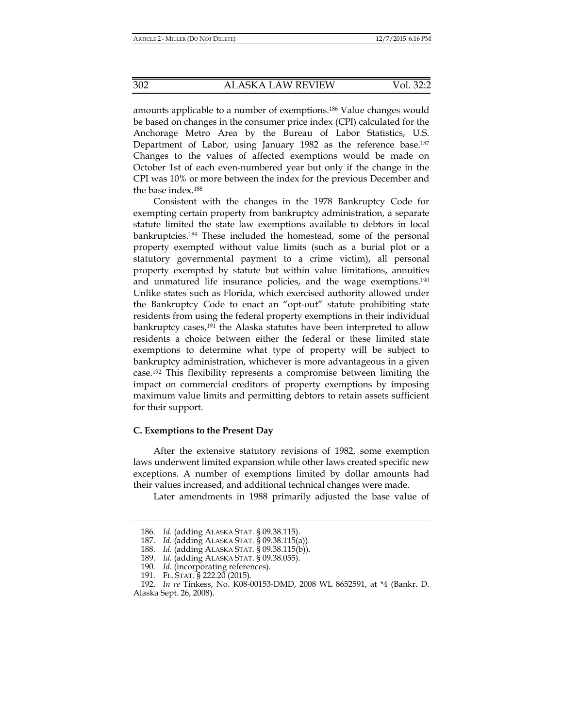amounts applicable to a number of exemptions.186 Value changes would be based on changes in the consumer price index (CPI) calculated for the Anchorage Metro Area by the Bureau of Labor Statistics, U.S. Department of Labor, using January 1982 as the reference base.<sup>187</sup> Changes to the values of affected exemptions would be made on October 1st of each even-numbered year but only if the change in the CPI was 10% or more between the index for the previous December and the base index.188

Consistent with the changes in the 1978 Bankruptcy Code for exempting certain property from bankruptcy administration, a separate statute limited the state law exemptions available to debtors in local bankruptcies.189 These included the homestead, some of the personal property exempted without value limits (such as a burial plot or a statutory governmental payment to a crime victim), all personal property exempted by statute but within value limitations, annuities and unmatured life insurance policies, and the wage exemptions.<sup>190</sup> Unlike states such as Florida, which exercised authority allowed under the Bankruptcy Code to enact an "opt-out" statute prohibiting state residents from using the federal property exemptions in their individual bankruptcy cases,191 the Alaska statutes have been interpreted to allow residents a choice between either the federal or these limited state exemptions to determine what type of property will be subject to bankruptcy administration, whichever is more advantageous in a given case.192 This flexibility represents a compromise between limiting the impact on commercial creditors of property exemptions by imposing maximum value limits and permitting debtors to retain assets sufficient for their support.

#### **C. Exemptions to the Present Day**

After the extensive statutory revisions of 1982, some exemption laws underwent limited expansion while other laws created specific new exceptions. A number of exemptions limited by dollar amounts had their values increased, and additional technical changes were made.

Later amendments in 1988 primarily adjusted the base value of

 <sup>186.</sup> *Id.* (adding ALASKA STAT. § 09.38.115).

 <sup>187.</sup> *Id.* (adding ALASKA STAT. § 09.38.115(a)).

 <sup>188.</sup> *Id.* (adding ALASKA STAT. § 09.38.115(b)).

 <sup>189.</sup> *Id.* (adding ALASKA STAT. § 09.38.055).

 <sup>190.</sup> *Id.* (incorporating references).

 <sup>191.</sup> FL. STAT. § 222.20 (2015).

 <sup>192.</sup> *In re* Tinkess, No. K08-00153-DMD, 2008 WL 8652591, at \*4 (Bankr. D. Alaska Sept. 26, 2008).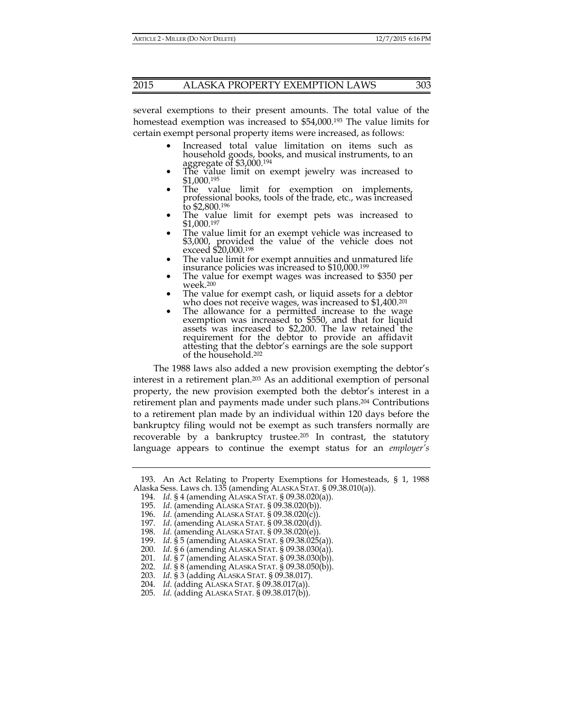several exemptions to their present amounts. The total value of the homestead exemption was increased to \$54,000.193 The value limits for certain exempt personal property items were increased, as follows:

- Increased total value limitation on items such as household goods, books, and musical instruments, to an aggregate of \$3,000.194
- The value limit on exempt jewelry was increased to \$1,000.195
- The value limit for exemption on implements, professional books, tools of the trade, etc., was increased to \$2,800.196
- The value limit for exempt pets was increased to \$1,000.197
- The value limit for an exempt vehicle was increased to \$3,000, provided the value of the vehicle does not exceed \$20,000.198
- The value limit for exempt annuities and unmatured life insurance policies was increased to \$10,000.199
- The value for exempt wages was increased to \$350 per week.200
- The value for exempt cash, or liquid assets for a debtor who does not receive wages, was increased to \$1,400.<sup>201</sup>
- The allowance for a permitted increase to the wage exemption was increased to \$550, and that for liquid assets was increased to \$2,200. The law retained the requirement for the debtor to provide an affidavit attesting that the debtor's earnings are the sole support of the household.202

The 1988 laws also added a new provision exempting the debtor's interest in a retirement plan.203 As an additional exemption of personal property, the new provision exempted both the debtor's interest in a retirement plan and payments made under such plans.204 Contributions to a retirement plan made by an individual within 120 days before the bankruptcy filing would not be exempt as such transfers normally are recoverable by a bankruptcy trustee.205 In contrast, the statutory language appears to continue the exempt status for an *employer's*

198. *Id.* (amending ALASKA STAT. § 09.38.020(e)).

 <sup>193.</sup> An Act Relating to Property Exemptions for Homesteads, § 1, 1988 Alaska Sess. Laws ch. 135 (amending ALASKA STAT. § 09.38.010(a)).

 <sup>194.</sup> *Id*. § 4 (amending ALASKA STAT. § 09.38.020(a)).

 <sup>195.</sup> *Id*. (amending ALASKA STAT. § 09.38.020(b)).

 <sup>196.</sup> *Id*. (amending ALASKA STAT. § 09.38.020(c)).

 <sup>197.</sup> *Id*. (amending ALASKA STAT. § 09.38.020(d)).

 <sup>199.</sup> *Id*. § 5 (amending ALASKA STAT. § 09.38.025(a)).

 <sup>200.</sup> *Id*. § 6 (amending ALASKA STAT. § 09.38.030(a)).

 <sup>201.</sup> *Id*. § 7 (amending ALASKA STAT. § 09.38.030(b)).

 <sup>202.</sup> *Id*. § 8 (amending ALASKA STAT. § 09.38.050(b)).

 <sup>203.</sup> *Id*. § 3 (adding ALASKA STAT. § 09.38.017).

 <sup>204.</sup> *Id*. (adding ALASKA STAT. § 09.38.017(a)).

 <sup>205.</sup> *Id*. (adding ALASKA STAT. § 09.38.017(b)).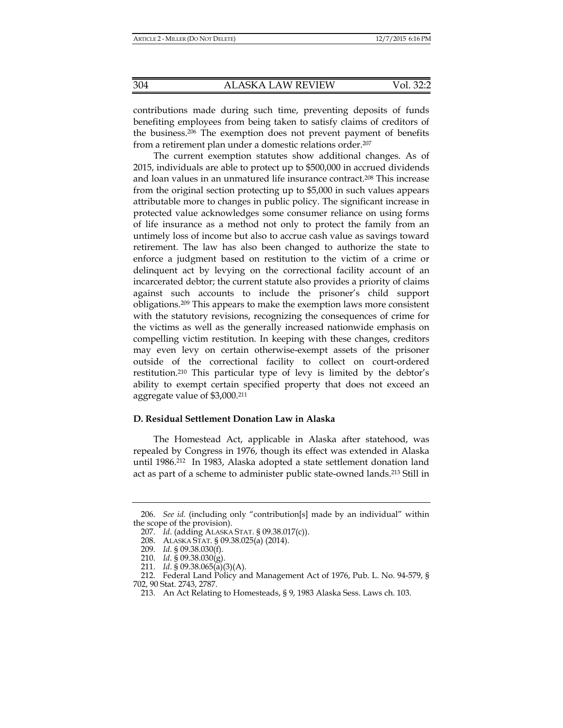contributions made during such time, preventing deposits of funds benefiting employees from being taken to satisfy claims of creditors of the business.206 The exemption does not prevent payment of benefits from a retirement plan under a domestic relations order.207

The current exemption statutes show additional changes. As of 2015, individuals are able to protect up to \$500,000 in accrued dividends and loan values in an unmatured life insurance contract.208 This increase from the original section protecting up to \$5,000 in such values appears attributable more to changes in public policy. The significant increase in protected value acknowledges some consumer reliance on using forms of life insurance as a method not only to protect the family from an untimely loss of income but also to accrue cash value as savings toward retirement. The law has also been changed to authorize the state to enforce a judgment based on restitution to the victim of a crime or delinquent act by levying on the correctional facility account of an incarcerated debtor; the current statute also provides a priority of claims against such accounts to include the prisoner's child support obligations.209 This appears to make the exemption laws more consistent with the statutory revisions, recognizing the consequences of crime for the victims as well as the generally increased nationwide emphasis on compelling victim restitution. In keeping with these changes, creditors may even levy on certain otherwise-exempt assets of the prisoner outside of the correctional facility to collect on court-ordered restitution.210 This particular type of levy is limited by the debtor's ability to exempt certain specified property that does not exceed an aggregate value of \$3,000.211

# **D. Residual Settlement Donation Law in Alaska**

The Homestead Act, applicable in Alaska after statehood, was repealed by Congress in 1976, though its effect was extended in Alaska until 1986.212 In 1983, Alaska adopted a state settlement donation land act as part of a scheme to administer public state-owned lands.<sup>213</sup> Still in

 <sup>206.</sup> *See id.* (including only "contribution[s] made by an individual" within the scope of the provision).

 <sup>207.</sup> *Id*. (adding ALASKA STAT. § 09.38.017(c)).

 <sup>208.</sup> ALASKA STAT. § 09.38.025(a) (2014).

 <sup>209.</sup> *Id*. § 09.38.030(f).

 <sup>210.</sup> *Id*. § 09.38.030(g).

 <sup>211.</sup> *Id*. § 09.38.065(a)(3)(A).

 <sup>212.</sup> Federal Land Policy and Management Act of 1976, Pub. L. No. 94-579, § 702, 90 Stat. 2743, 2787.

 <sup>213.</sup> An Act Relating to Homesteads, § 9, 1983 Alaska Sess. Laws ch. 103.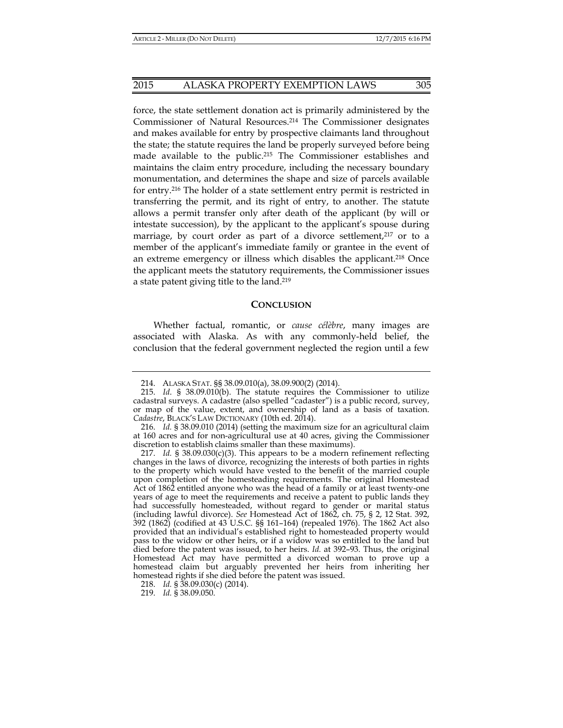force, the state settlement donation act is primarily administered by the Commissioner of Natural Resources.214 The Commissioner designates and makes available for entry by prospective claimants land throughout the state; the statute requires the land be properly surveyed before being made available to the public.215 The Commissioner establishes and maintains the claim entry procedure, including the necessary boundary monumentation, and determines the shape and size of parcels available for entry.216 The holder of a state settlement entry permit is restricted in transferring the permit, and its right of entry, to another. The statute allows a permit transfer only after death of the applicant (by will or intestate succession), by the applicant to the applicant's spouse during marriage, by court order as part of a divorce settlement, $2^{17}$  or to a member of the applicant's immediate family or grantee in the event of an extreme emergency or illness which disables the applicant.<sup>218</sup> Once the applicant meets the statutory requirements, the Commissioner issues a state patent giving title to the land.219

#### **CONCLUSION**

Whether factual, romantic, or *cause célèbre*, many images are associated with Alaska. As with any commonly-held belief, the conclusion that the federal government neglected the region until a few

218. *Id.* § 38.09.030(c) (2014).

219. *Id.* § 38.09.050.

 <sup>214.</sup> ALASKA STAT. §§ 38.09.010(a), 38.09.900(2) (2014).

 <sup>215.</sup> *Id*. § 38.09.010(b). The statute requires the Commissioner to utilize cadastral surveys. A cadastre (also spelled "cadaster") is a public record, survey, or map of the value, extent, and ownership of land as a basis of taxation. *Cadastre*, BLACK'S LAW DICTIONARY (10th ed. 2014).

 <sup>216.</sup> *Id.* § 38.09.010 (2014) (setting the maximum size for an agricultural claim at 160 acres and for non-agricultural use at 40 acres, giving the Commissioner discretion to establish claims smaller than these maximums).

 <sup>217.</sup> *Id.* § 38.09.030(c)(3). This appears to be a modern refinement reflecting changes in the laws of divorce, recognizing the interests of both parties in rights to the property which would have vested to the benefit of the married couple upon completion of the homesteading requirements. The original Homestead Act of 1862 entitled anyone who was the head of a family or at least twenty-one years of age to meet the requirements and receive a patent to public lands they had successfully homesteaded, without regard to gender or marital status (including lawful divorce). *See* Homestead Act of 1862, ch. 75, § 2, 12 Stat. 392, 392 (1862) (codified at 43 U.S.C. §§ 161–164) (repealed 1976). The 1862 Act also provided that an individual's established right to homesteaded property would pass to the widow or other heirs, or if a widow was so entitled to the land but died before the patent was issued, to her heirs. *Id.* at 392–93. Thus, the original Homestead Act may have permitted a divorced woman to prove up a homestead claim but arguably prevented her heirs from inheriting her homestead rights if she died before the patent was issued.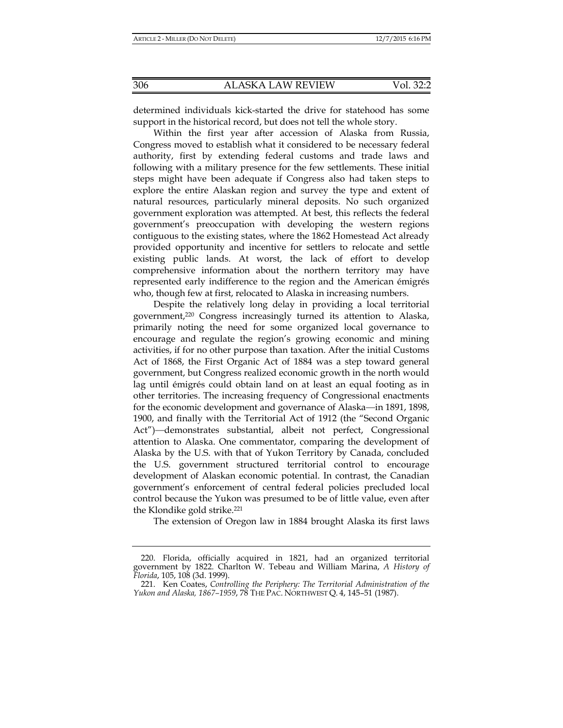determined individuals kick-started the drive for statehood has some support in the historical record, but does not tell the whole story.

Within the first year after accession of Alaska from Russia, Congress moved to establish what it considered to be necessary federal authority, first by extending federal customs and trade laws and following with a military presence for the few settlements. These initial steps might have been adequate if Congress also had taken steps to explore the entire Alaskan region and survey the type and extent of natural resources, particularly mineral deposits. No such organized government exploration was attempted. At best, this reflects the federal government's preoccupation with developing the western regions contiguous to the existing states, where the 1862 Homestead Act already provided opportunity and incentive for settlers to relocate and settle existing public lands. At worst, the lack of effort to develop comprehensive information about the northern territory may have represented early indifference to the region and the American émigrés who, though few at first, relocated to Alaska in increasing numbers.

Despite the relatively long delay in providing a local territorial government,220 Congress increasingly turned its attention to Alaska, primarily noting the need for some organized local governance to encourage and regulate the region's growing economic and mining activities, if for no other purpose than taxation. After the initial Customs Act of 1868, the First Organic Act of 1884 was a step toward general government, but Congress realized economic growth in the north would lag until émigrés could obtain land on at least an equal footing as in other territories. The increasing frequency of Congressional enactments for the economic development and governance of Alaska—in 1891, 1898, 1900, and finally with the Territorial Act of 1912 (the "Second Organic Act")—demonstrates substantial, albeit not perfect, Congressional attention to Alaska. One commentator, comparing the development of Alaska by the U.S. with that of Yukon Territory by Canada, concluded the U.S. government structured territorial control to encourage development of Alaskan economic potential. In contrast, the Canadian government's enforcement of central federal policies precluded local control because the Yukon was presumed to be of little value, even after the Klondike gold strike.221

The extension of Oregon law in 1884 brought Alaska its first laws

 <sup>220.</sup> Florida, officially acquired in 1821, had an organized territorial government by 1822. Charlton W. Tebeau and William Marina, *A History of Florida*, 105, 108 (3d. 1999).

 <sup>221.</sup> Ken Coates, *Controlling the Periphery: The Territorial Administration of the Yukon and Alaska, 1867–1959*, 78 THE PAC. NORTHWEST Q. 4, 145–51 (1987).